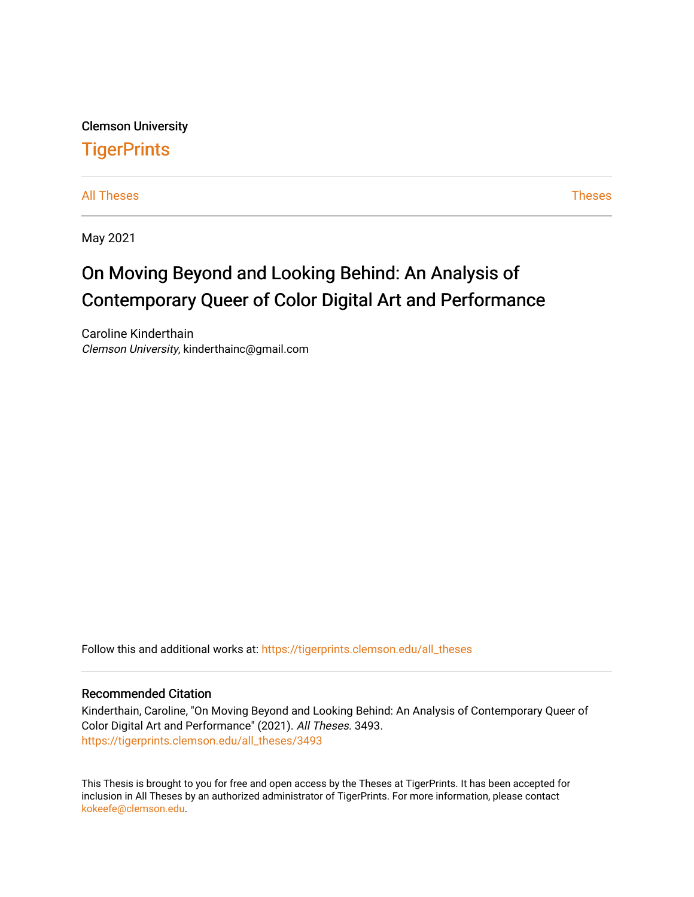Clemson University **TigerPrints** 

[All Theses](https://tigerprints.clemson.edu/all_theses) **Theses** [Theses](https://tigerprints.clemson.edu/theses) **Theses** 

May 2021

# On Moving Beyond and Looking Behind: An Analysis of Contemporary Queer of Color Digital Art and Performance

Caroline Kinderthain Clemson University, kinderthainc@gmail.com

Follow this and additional works at: [https://tigerprints.clemson.edu/all\\_theses](https://tigerprints.clemson.edu/all_theses?utm_source=tigerprints.clemson.edu%2Fall_theses%2F3493&utm_medium=PDF&utm_campaign=PDFCoverPages) 

### Recommended Citation

Kinderthain, Caroline, "On Moving Beyond and Looking Behind: An Analysis of Contemporary Queer of Color Digital Art and Performance" (2021). All Theses. 3493. [https://tigerprints.clemson.edu/all\\_theses/3493](https://tigerprints.clemson.edu/all_theses/3493?utm_source=tigerprints.clemson.edu%2Fall_theses%2F3493&utm_medium=PDF&utm_campaign=PDFCoverPages) 

This Thesis is brought to you for free and open access by the Theses at TigerPrints. It has been accepted for inclusion in All Theses by an authorized administrator of TigerPrints. For more information, please contact [kokeefe@clemson.edu](mailto:kokeefe@clemson.edu).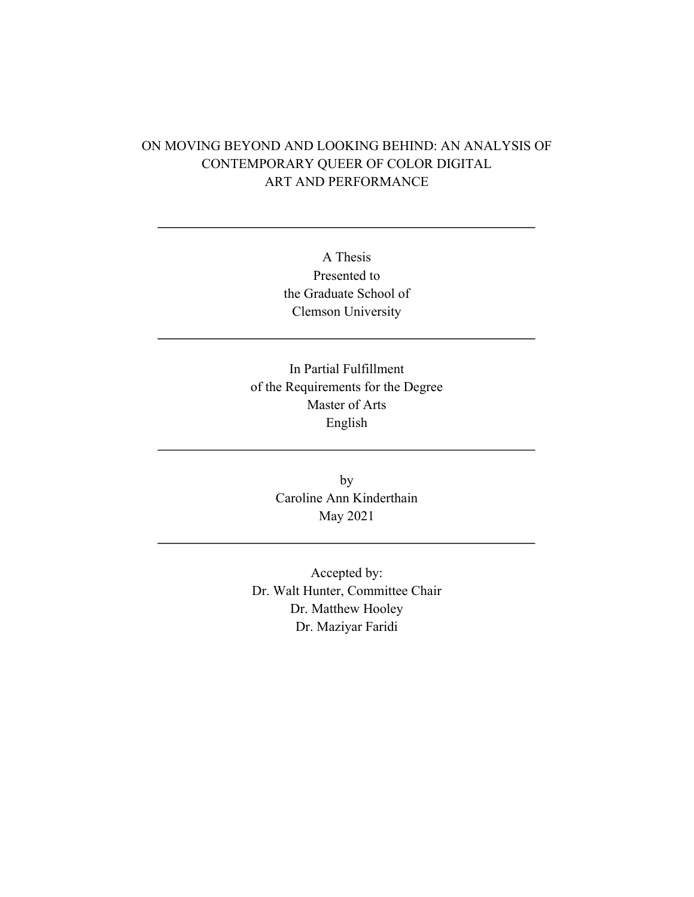# ON MOVING BEYOND AND LOOKING BEHIND: AN ANALYSIS OF CONTEMPORARY QUEER OF COLOR DIGITAL ART AND PERFORMANCE

A Thesis Presented to the Graduate School of Clemson University

In Partial Fulfillment of the Requirements for the Degree Master of Arts English

> by Caroline Ann Kinderthain May 2021

Accepted by: Dr. Walt Hunter, Committee Chair Dr. Matthew Hooley Dr. Maziyar Faridi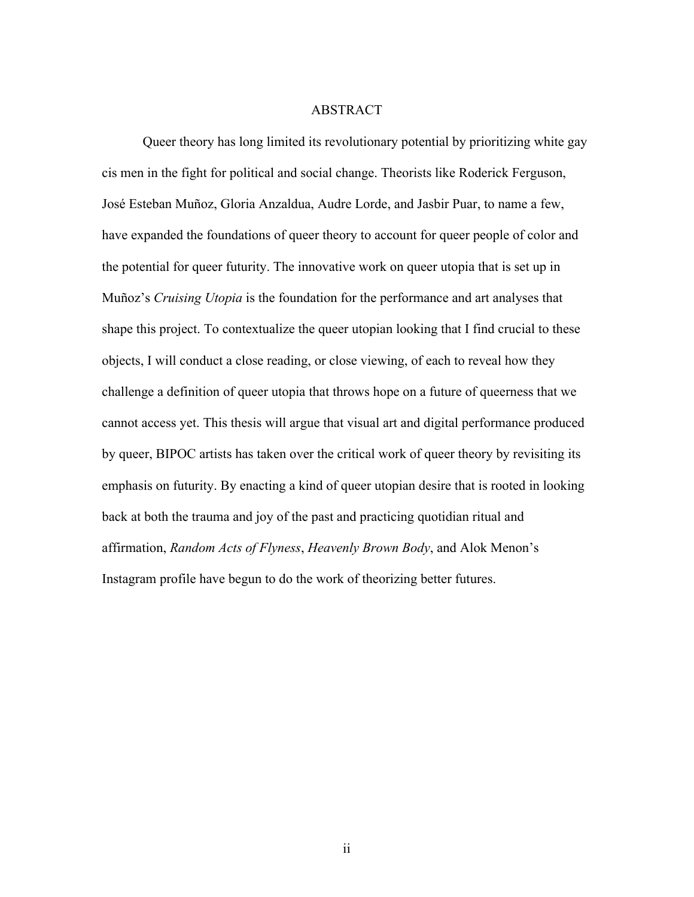#### ABSTRACT

Queer theory has long limited its revolutionary potential by prioritizing white gay cis men in the fight for political and social change. Theorists like Roderick Ferguson, José Esteban Muñoz, Gloria Anzaldua, Audre Lorde, and Jasbir Puar, to name a few, have expanded the foundations of queer theory to account for queer people of color and the potential for queer futurity. The innovative work on queer utopia that is set up in Muñoz's *Cruising Utopia* is the foundation for the performance and art analyses that shape this project. To contextualize the queer utopian looking that I find crucial to these objects, I will conduct a close reading, or close viewing, of each to reveal how they challenge a definition of queer utopia that throws hope on a future of queerness that we cannot access yet. This thesis will argue that visual art and digital performance produced by queer, BIPOC artists has taken over the critical work of queer theory by revisiting its emphasis on futurity. By enacting a kind of queer utopian desire that is rooted in looking back at both the trauma and joy of the past and practicing quotidian ritual and affirmation, *Random Acts of Flyness*, *Heavenly Brown Body*, and Alok Menon's Instagram profile have begun to do the work of theorizing better futures.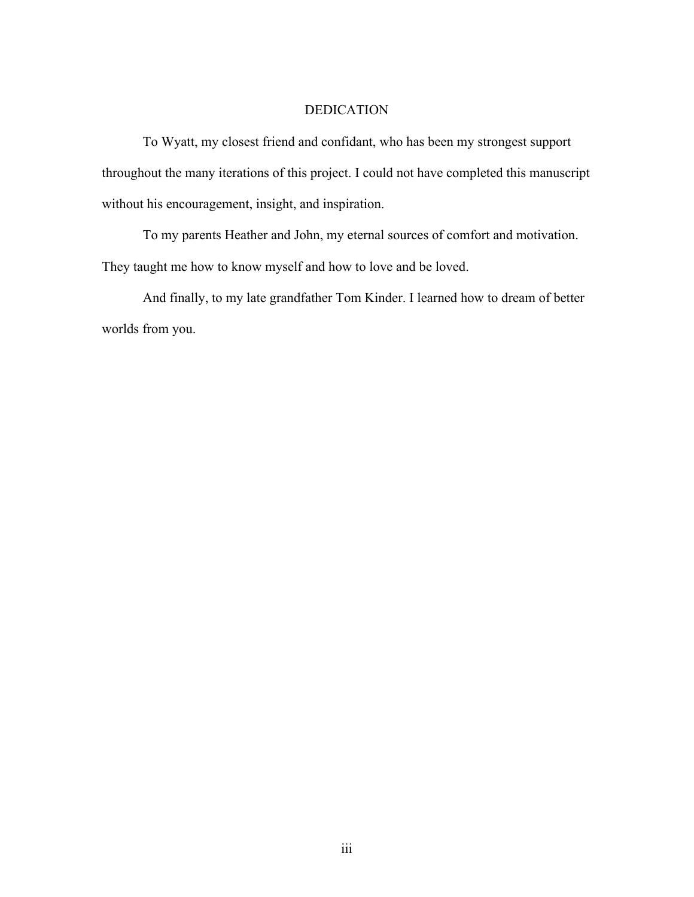# DEDICATION

To Wyatt, my closest friend and confidant, who has been my strongest support throughout the many iterations of this project. I could not have completed this manuscript without his encouragement, insight, and inspiration.

To my parents Heather and John, my eternal sources of comfort and motivation. They taught me how to know myself and how to love and be loved.

And finally, to my late grandfather Tom Kinder. I learned how to dream of better worlds from you.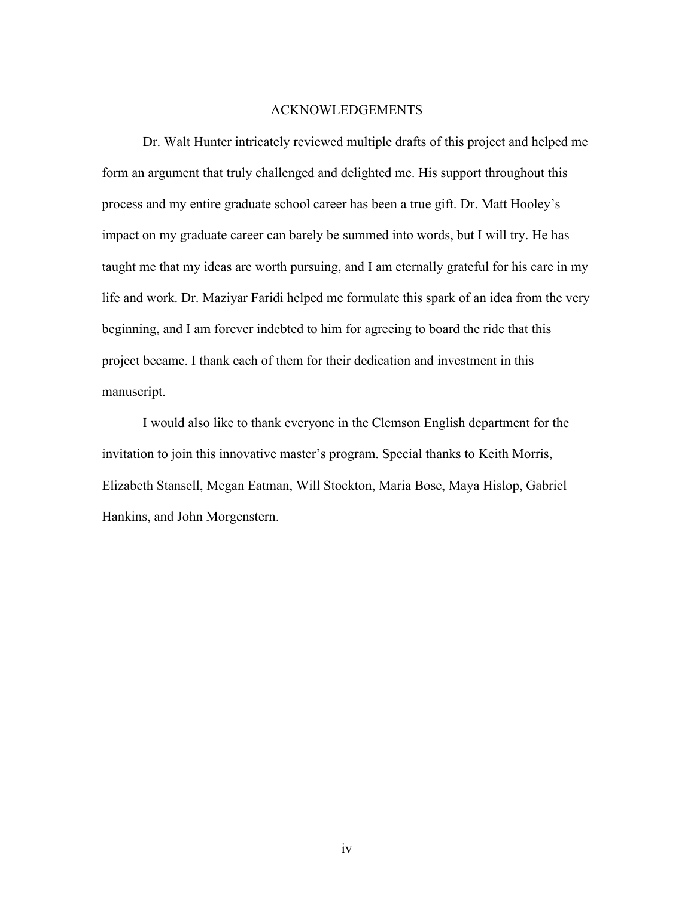#### ACKNOWLEDGEMENTS

Dr. Walt Hunter intricately reviewed multiple drafts of this project and helped me form an argument that truly challenged and delighted me. His support throughout this process and my entire graduate school career has been a true gift. Dr. Matt Hooley's impact on my graduate career can barely be summed into words, but I will try. He has taught me that my ideas are worth pursuing, and I am eternally grateful for his care in my life and work. Dr. Maziyar Faridi helped me formulate this spark of an idea from the very beginning, and I am forever indebted to him for agreeing to board the ride that this project became. I thank each of them for their dedication and investment in this manuscript.

I would also like to thank everyone in the Clemson English department for the invitation to join this innovative master's program. Special thanks to Keith Morris, Elizabeth Stansell, Megan Eatman, Will Stockton, Maria Bose, Maya Hislop, Gabriel Hankins, and John Morgenstern.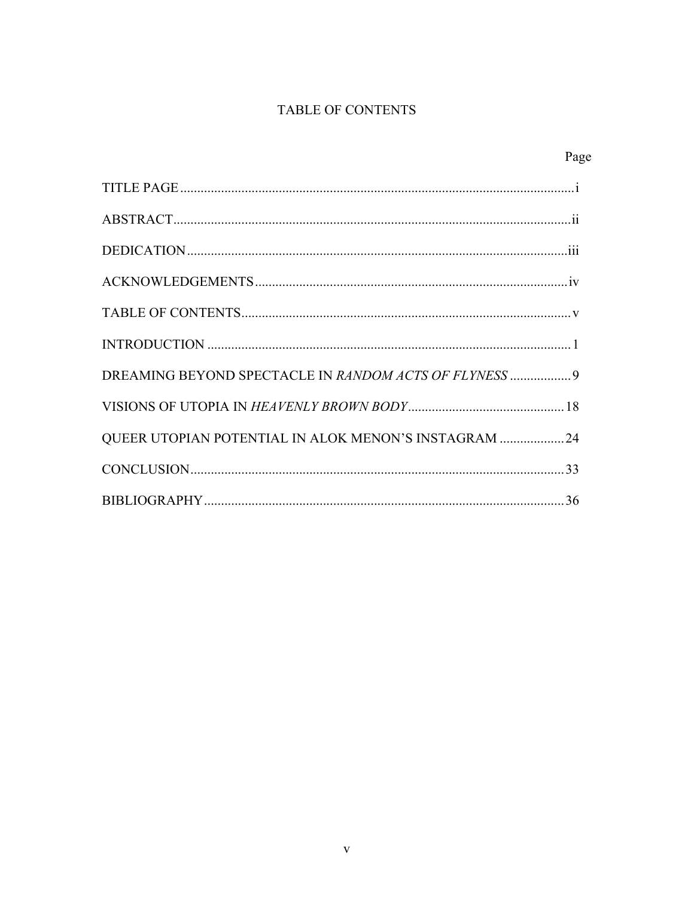# TABLE OF CONTENTS

|--|

| DREAMING BEYOND SPECTACLE IN RANDOM ACTS OF FLYNESS  9 |
|--------------------------------------------------------|
|                                                        |
| QUEER UTOPIAN POTENTIAL IN ALOK MENON'S INSTAGRAM  24  |
|                                                        |
|                                                        |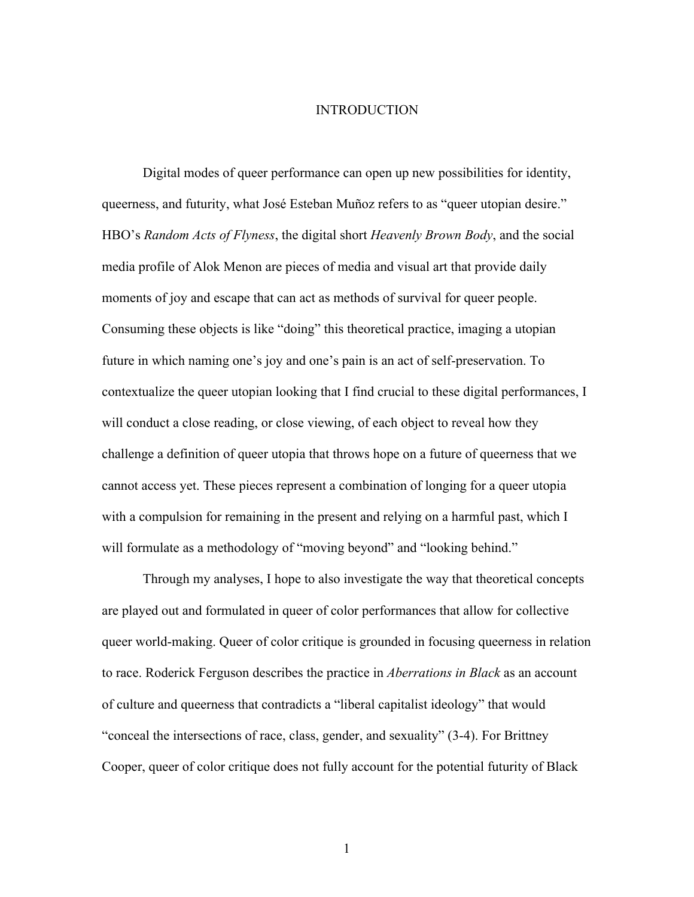#### INTRODUCTION

Digital modes of queer performance can open up new possibilities for identity, queerness, and futurity, what José Esteban Muñoz refers to as "queer utopian desire." HBO's *Random Acts of Flyness*, the digital short *Heavenly Brown Body*, and the social media profile of Alok Menon are pieces of media and visual art that provide daily moments of joy and escape that can act as methods of survival for queer people. Consuming these objects is like "doing" this theoretical practice, imaging a utopian future in which naming one's joy and one's pain is an act of self-preservation. To contextualize the queer utopian looking that I find crucial to these digital performances, I will conduct a close reading, or close viewing, of each object to reveal how they challenge a definition of queer utopia that throws hope on a future of queerness that we cannot access yet. These pieces represent a combination of longing for a queer utopia with a compulsion for remaining in the present and relying on a harmful past, which I will formulate as a methodology of "moving beyond" and "looking behind."

Through my analyses, I hope to also investigate the way that theoretical concepts are played out and formulated in queer of color performances that allow for collective queer world-making. Queer of color critique is grounded in focusing queerness in relation to race. Roderick Ferguson describes the practice in *Aberrations in Black* as an account of culture and queerness that contradicts a "liberal capitalist ideology" that would "conceal the intersections of race, class, gender, and sexuality" (3-4). For Brittney Cooper, queer of color critique does not fully account for the potential futurity of Black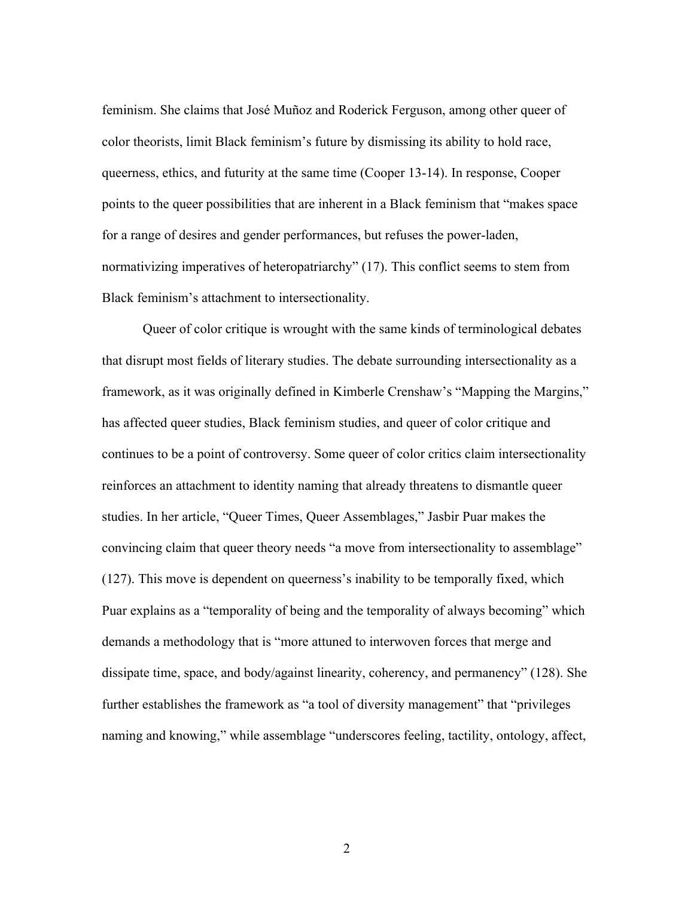feminism. She claims that José Muñoz and Roderick Ferguson, among other queer of color theorists, limit Black feminism's future by dismissing its ability to hold race, queerness, ethics, and futurity at the same time (Cooper 13-14). In response, Cooper points to the queer possibilities that are inherent in a Black feminism that "makes space for a range of desires and gender performances, but refuses the power-laden, normativizing imperatives of heteropatriarchy" (17). This conflict seems to stem from Black feminism's attachment to intersectionality.

Queer of color critique is wrought with the same kinds of terminological debates that disrupt most fields of literary studies. The debate surrounding intersectionality as a framework, as it was originally defined in Kimberle Crenshaw's "Mapping the Margins," has affected queer studies, Black feminism studies, and queer of color critique and continues to be a point of controversy. Some queer of color critics claim intersectionality reinforces an attachment to identity naming that already threatens to dismantle queer studies. In her article, "Queer Times, Queer Assemblages," Jasbir Puar makes the convincing claim that queer theory needs "a move from intersectionality to assemblage" (127). This move is dependent on queerness's inability to be temporally fixed, which Puar explains as a "temporality of being and the temporality of always becoming" which demands a methodology that is "more attuned to interwoven forces that merge and dissipate time, space, and body/against linearity, coherency, and permanency" (128). She further establishes the framework as "a tool of diversity management" that "privileges naming and knowing," while assemblage "underscores feeling, tactility, ontology, affect,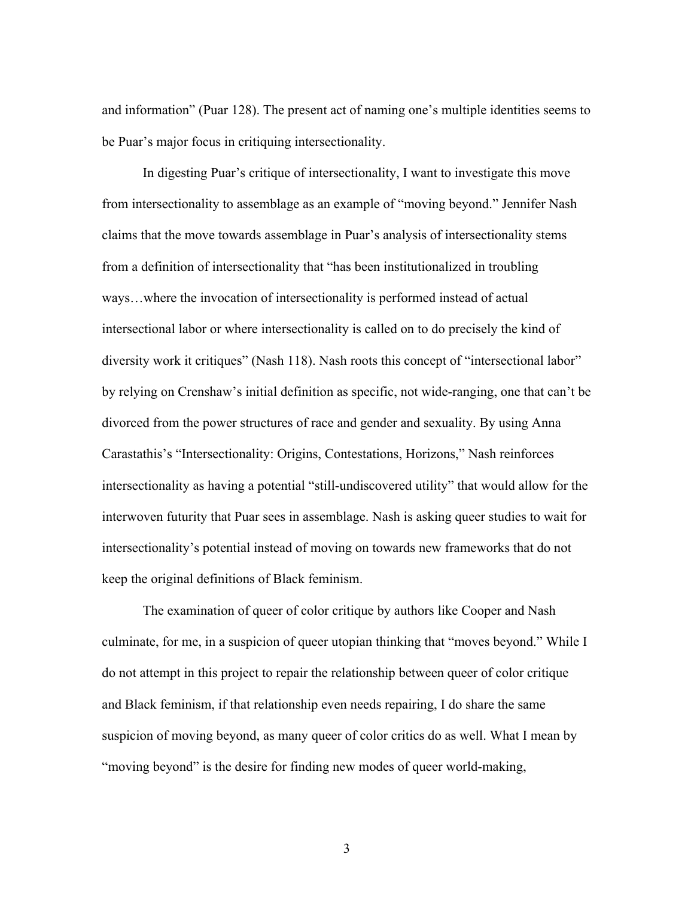and information" (Puar 128). The present act of naming one's multiple identities seems to be Puar's major focus in critiquing intersectionality.

In digesting Puar's critique of intersectionality, I want to investigate this move from intersectionality to assemblage as an example of "moving beyond." Jennifer Nash claims that the move towards assemblage in Puar's analysis of intersectionality stems from a definition of intersectionality that "has been institutionalized in troubling ways…where the invocation of intersectionality is performed instead of actual intersectional labor or where intersectionality is called on to do precisely the kind of diversity work it critiques" (Nash 118). Nash roots this concept of "intersectional labor" by relying on Crenshaw's initial definition as specific, not wide-ranging, one that can't be divorced from the power structures of race and gender and sexuality. By using Anna Carastathis's "Intersectionality: Origins, Contestations, Horizons," Nash reinforces intersectionality as having a potential "still-undiscovered utility" that would allow for the interwoven futurity that Puar sees in assemblage. Nash is asking queer studies to wait for intersectionality's potential instead of moving on towards new frameworks that do not keep the original definitions of Black feminism.

The examination of queer of color critique by authors like Cooper and Nash culminate, for me, in a suspicion of queer utopian thinking that "moves beyond." While I do not attempt in this project to repair the relationship between queer of color critique and Black feminism, if that relationship even needs repairing, I do share the same suspicion of moving beyond, as many queer of color critics do as well. What I mean by "moving beyond" is the desire for finding new modes of queer world-making,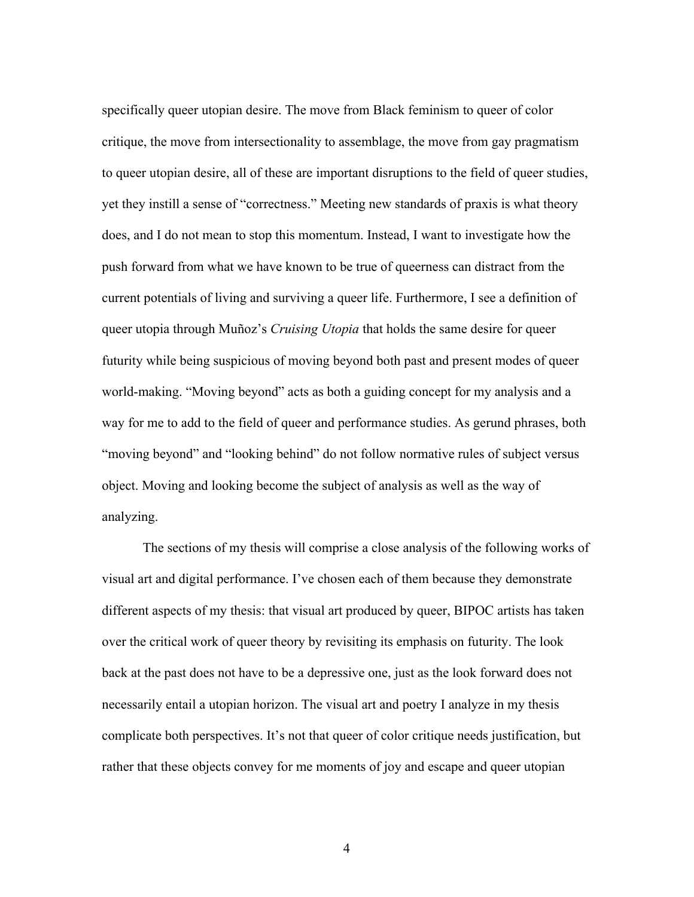specifically queer utopian desire. The move from Black feminism to queer of color critique, the move from intersectionality to assemblage, the move from gay pragmatism to queer utopian desire, all of these are important disruptions to the field of queer studies, yet they instill a sense of "correctness." Meeting new standards of praxis is what theory does, and I do not mean to stop this momentum. Instead, I want to investigate how the push forward from what we have known to be true of queerness can distract from the current potentials of living and surviving a queer life. Furthermore, I see a definition of queer utopia through Muñoz's *Cruising Utopia* that holds the same desire for queer futurity while being suspicious of moving beyond both past and present modes of queer world-making. "Moving beyond" acts as both a guiding concept for my analysis and a way for me to add to the field of queer and performance studies. As gerund phrases, both "moving beyond" and "looking behind" do not follow normative rules of subject versus object. Moving and looking become the subject of analysis as well as the way of analyzing.

The sections of my thesis will comprise a close analysis of the following works of visual art and digital performance. I've chosen each of them because they demonstrate different aspects of my thesis: that visual art produced by queer, BIPOC artists has taken over the critical work of queer theory by revisiting its emphasis on futurity. The look back at the past does not have to be a depressive one, just as the look forward does not necessarily entail a utopian horizon. The visual art and poetry I analyze in my thesis complicate both perspectives. It's not that queer of color critique needs justification, but rather that these objects convey for me moments of joy and escape and queer utopian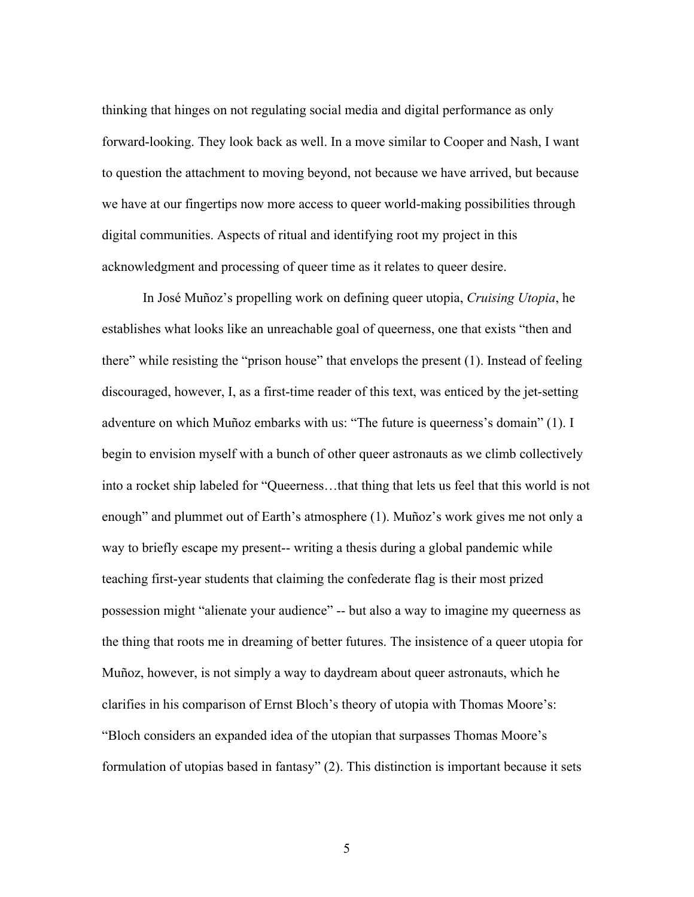thinking that hinges on not regulating social media and digital performance as only forward-looking. They look back as well. In a move similar to Cooper and Nash, I want to question the attachment to moving beyond, not because we have arrived, but because we have at our fingertips now more access to queer world-making possibilities through digital communities. Aspects of ritual and identifying root my project in this acknowledgment and processing of queer time as it relates to queer desire.

In José Muñoz's propelling work on defining queer utopia, *Cruising Utopia*, he establishes what looks like an unreachable goal of queerness, one that exists "then and there" while resisting the "prison house" that envelops the present (1). Instead of feeling discouraged, however, I, as a first-time reader of this text, was enticed by the jet-setting adventure on which Muñoz embarks with us: "The future is queerness's domain" (1). I begin to envision myself with a bunch of other queer astronauts as we climb collectively into a rocket ship labeled for "Queerness…that thing that lets us feel that this world is not enough" and plummet out of Earth's atmosphere (1). Muñoz's work gives me not only a way to briefly escape my present-- writing a thesis during a global pandemic while teaching first-year students that claiming the confederate flag is their most prized possession might "alienate your audience" -- but also a way to imagine my queerness as the thing that roots me in dreaming of better futures. The insistence of a queer utopia for Muñoz, however, is not simply a way to daydream about queer astronauts, which he clarifies in his comparison of Ernst Bloch's theory of utopia with Thomas Moore's: "Bloch considers an expanded idea of the utopian that surpasses Thomas Moore's formulation of utopias based in fantasy" (2). This distinction is important because it sets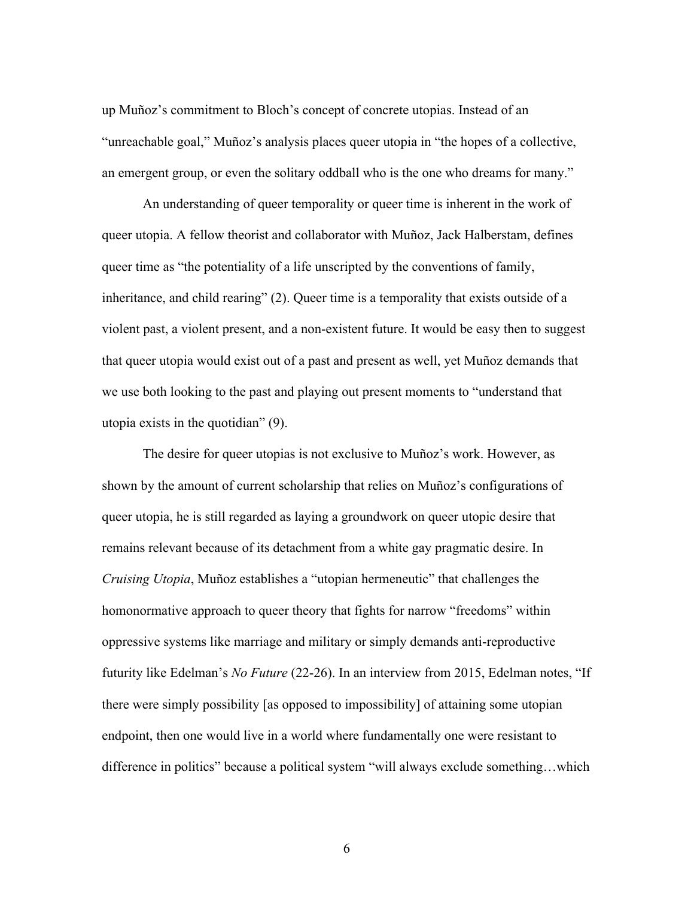up Muñoz's commitment to Bloch's concept of concrete utopias. Instead of an "unreachable goal," Muñoz's analysis places queer utopia in "the hopes of a collective, an emergent group, or even the solitary oddball who is the one who dreams for many."

An understanding of queer temporality or queer time is inherent in the work of queer utopia. A fellow theorist and collaborator with Muñoz, Jack Halberstam, defines queer time as "the potentiality of a life unscripted by the conventions of family, inheritance, and child rearing" (2). Queer time is a temporality that exists outside of a violent past, a violent present, and a non-existent future. It would be easy then to suggest that queer utopia would exist out of a past and present as well, yet Muñoz demands that we use both looking to the past and playing out present moments to "understand that utopia exists in the quotidian" (9).

The desire for queer utopias is not exclusive to Muñoz's work. However, as shown by the amount of current scholarship that relies on Muñoz's configurations of queer utopia, he is still regarded as laying a groundwork on queer utopic desire that remains relevant because of its detachment from a white gay pragmatic desire. In *Cruising Utopia*, Muñoz establishes a "utopian hermeneutic" that challenges the homonormative approach to queer theory that fights for narrow "freedoms" within oppressive systems like marriage and military or simply demands anti-reproductive futurity like Edelman's *No Future* (22-26). In an interview from 2015, Edelman notes, "If there were simply possibility [as opposed to impossibility] of attaining some utopian endpoint, then one would live in a world where fundamentally one were resistant to difference in politics" because a political system "will always exclude something…which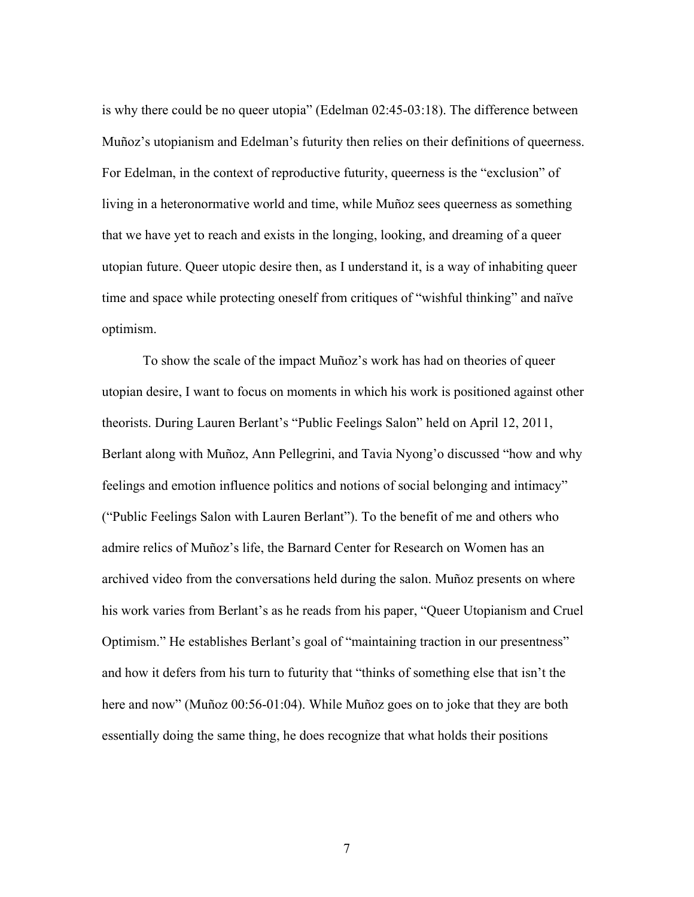is why there could be no queer utopia" (Edelman 02:45-03:18). The difference between Muñoz's utopianism and Edelman's futurity then relies on their definitions of queerness. For Edelman, in the context of reproductive futurity, queerness is the "exclusion" of living in a heteronormative world and time, while Muñoz sees queerness as something that we have yet to reach and exists in the longing, looking, and dreaming of a queer utopian future. Queer utopic desire then, as I understand it, is a way of inhabiting queer time and space while protecting oneself from critiques of "wishful thinking" and naïve optimism.

To show the scale of the impact Muñoz's work has had on theories of queer utopian desire, I want to focus on moments in which his work is positioned against other theorists. During Lauren Berlant's "Public Feelings Salon" held on April 12, 2011, Berlant along with Muñoz, Ann Pellegrini, and Tavia Nyong'o discussed "how and why feelings and emotion influence politics and notions of social belonging and intimacy" ("Public Feelings Salon with Lauren Berlant"). To the benefit of me and others who admire relics of Muñoz's life, the Barnard Center for Research on Women has an archived video from the conversations held during the salon. Muñoz presents on where his work varies from Berlant's as he reads from his paper, "Queer Utopianism and Cruel Optimism." He establishes Berlant's goal of "maintaining traction in our presentness" and how it defers from his turn to futurity that "thinks of something else that isn't the here and now" (Muñoz 00:56-01:04). While Muñoz goes on to joke that they are both essentially doing the same thing, he does recognize that what holds their positions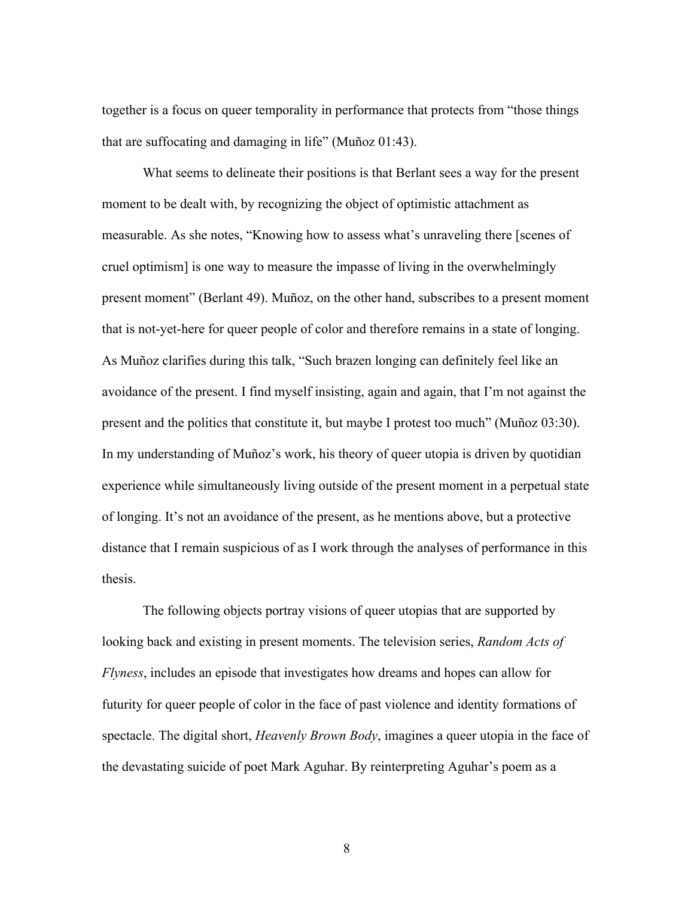together is a focus on queer temporality in performance that protects from "those things that are suffocating and damaging in life" (Muñoz 01:43).

What seems to delineate their positions is that Berlant sees a way for the present moment to be dealt with, by recognizing the object of optimistic attachment as measurable. As she notes, "Knowing how to assess what's unraveling there [scenes of cruel optimism] is one way to measure the impasse of living in the overwhelmingly present moment" (Berlant 49). Muñoz, on the other hand, subscribes to a present moment that is not-yet-here for queer people of color and therefore remains in a state of longing. As Muñoz clarifies during this talk, "Such brazen longing can definitely feel like an avoidance of the present. I find myself insisting, again and again, that I'm not against the present and the politics that constitute it, but maybe I protest too much" (Muñoz 03:30). In my understanding of Muñoz's work, his theory of queer utopia is driven by quotidian experience while simultaneously living outside of the present moment in a perpetual state of longing. It's not an avoidance of the present, as he mentions above, but a protective distance that I remain suspicious of as I work through the analyses of performance in this thesis.

The following objects portray visions of queer utopias that are supported by looking back and existing in present moments. The television series, *Random Acts of Flyness*, includes an episode that investigates how dreams and hopes can allow for futurity for queer people of color in the face of past violence and identity formations of spectacle. The digital short, *Heavenly Brown Body*, imagines a queer utopia in the face of the devastating suicide of poet Mark Aguhar. By reinterpreting Aguhar's poem as a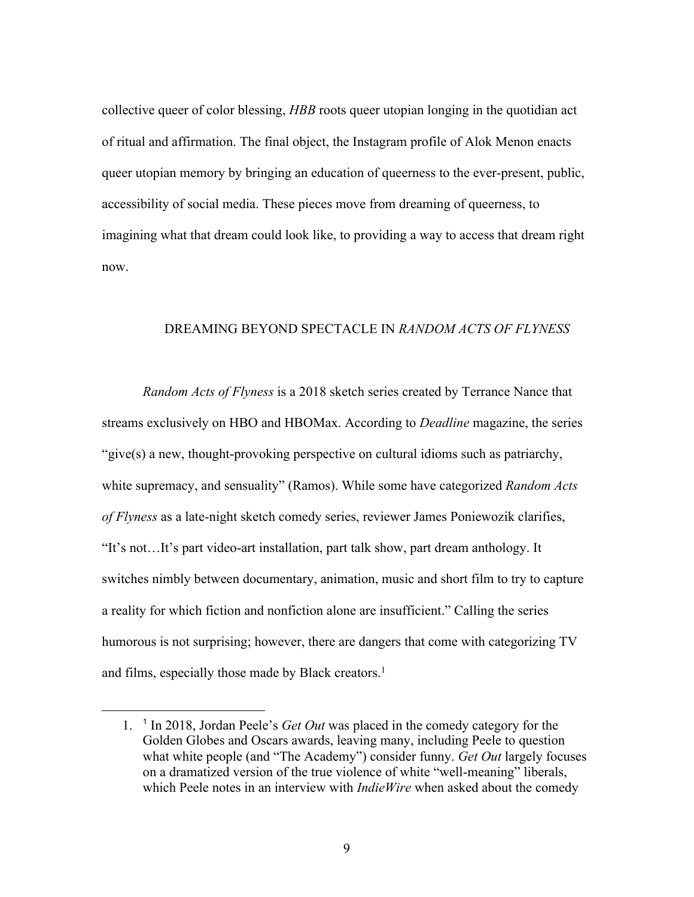collective queer of color blessing, *HBB* roots queer utopian longing in the quotidian act of ritual and affirmation. The final object, the Instagram profile of Alok Menon enacts queer utopian memory by bringing an education of queerness to the ever-present, public, accessibility of social media. These pieces move from dreaming of queerness, to imagining what that dream could look like, to providing a way to access that dream right now.

## DREAMING BEYOND SPECTACLE IN *RANDOM ACTS OF FLYNESS*

*Random Acts of Flyness* is a 2018 sketch series created by Terrance Nance that streams exclusively on HBO and HBOMax. According to *Deadline* magazine, the series "give(s) a new, thought-provoking perspective on cultural idioms such as patriarchy, white supremacy, and sensuality" (Ramos). While some have categorized *Random Acts of Flyness* as a late-night sketch comedy series, reviewer James Poniewozik clarifies, "It's not…It's part video-art installation, part talk show, part dream anthology. It switches nimbly between documentary, animation, music and short film to try to capture a reality for which fiction and nonfiction alone are insufficient." Calling the series humorous is not surprising; however, there are dangers that come with categorizing TV and films, especially those made by Black creators.<sup>1</sup>

<sup>1.</sup> <sup>1</sup> In 2018, Jordan Peele's *Get Out* was placed in the comedy category for the Golden Globes and Oscars awards, leaving many, including Peele to question what white people (and "The Academy") consider funny. *Get Out* largely focuses on a dramatized version of the true violence of white "well-meaning" liberals, which Peele notes in an interview with *IndieWire* when asked about the comedy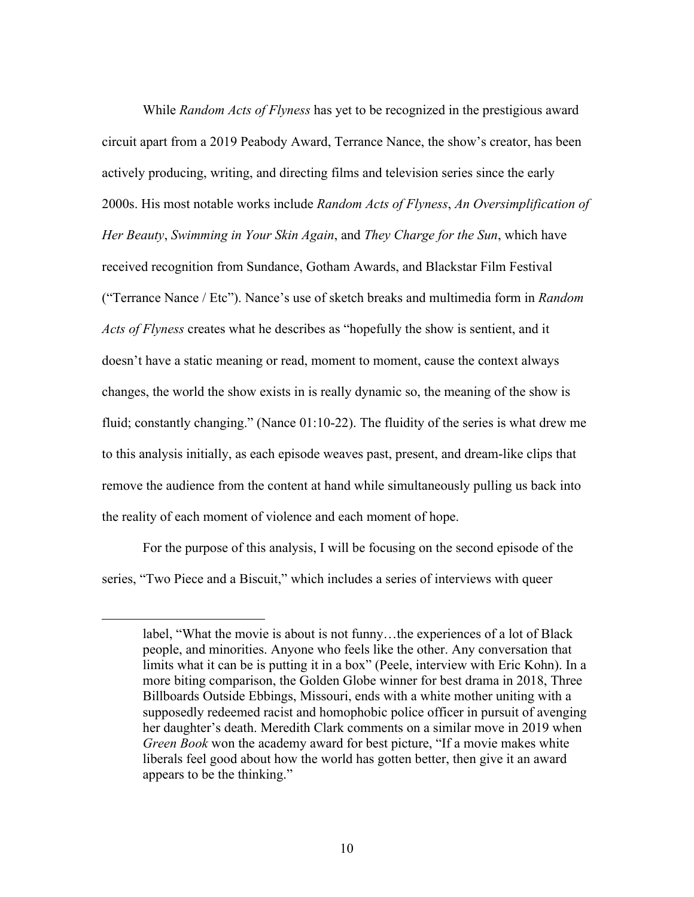While *Random Acts of Flyness* has yet to be recognized in the prestigious award circuit apart from a 2019 Peabody Award, Terrance Nance, the show's creator, has been actively producing, writing, and directing films and television series since the early 2000s. His most notable works include *Random Acts of Flyness*, *An Oversimplification of Her Beauty*, *Swimming in Your Skin Again*, and *They Charge for the Sun*, which have received recognition from Sundance, Gotham Awards, and Blackstar Film Festival ("Terrance Nance / Etc"). Nance's use of sketch breaks and multimedia form in *Random Acts of Flyness* creates what he describes as "hopefully the show is sentient, and it doesn't have a static meaning or read, moment to moment, cause the context always changes, the world the show exists in is really dynamic so, the meaning of the show is fluid; constantly changing." (Nance 01:10-22). The fluidity of the series is what drew me to this analysis initially, as each episode weaves past, present, and dream-like clips that remove the audience from the content at hand while simultaneously pulling us back into the reality of each moment of violence and each moment of hope.

For the purpose of this analysis, I will be focusing on the second episode of the series, "Two Piece and a Biscuit," which includes a series of interviews with queer

label, "What the movie is about is not funny…the experiences of a lot of Black people, and minorities. Anyone who feels like the other. Any conversation that limits what it can be is putting it in a box" (Peele, interview with Eric Kohn). In a more biting comparison, the Golden Globe winner for best drama in 2018, Three Billboards Outside Ebbings, Missouri, ends with a white mother uniting with a supposedly redeemed racist and homophobic police officer in pursuit of avenging her daughter's death. Meredith Clark comments on a similar move in 2019 when *Green Book* won the academy award for best picture, "If a movie makes white liberals feel good about how the world has gotten better, then give it an award appears to be the thinking."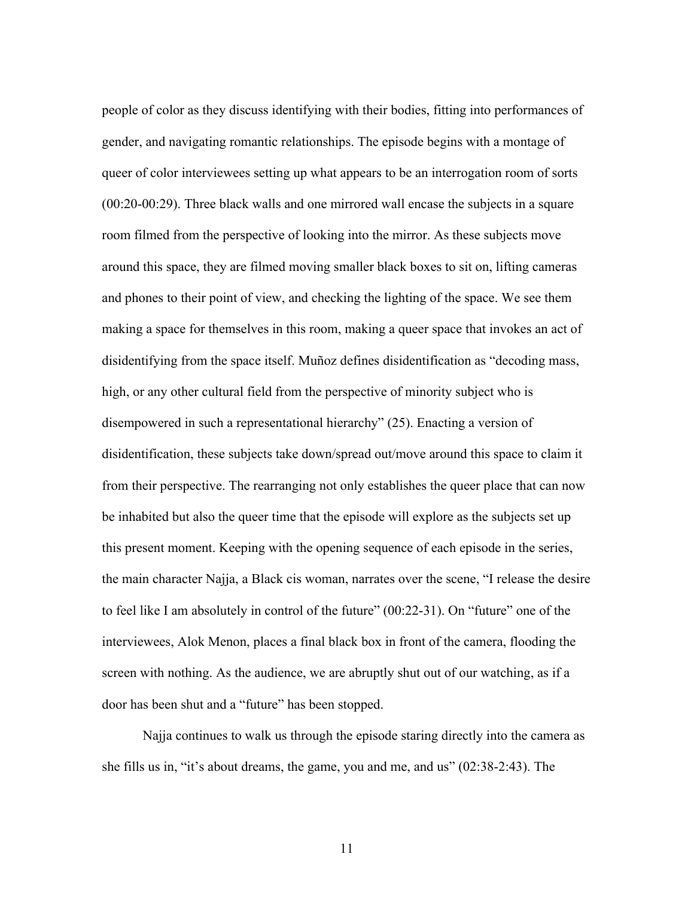people of color as they discuss identifying with their bodies, fitting into performances of gender, and navigating romantic relationships. The episode begins with a montage of queer of color interviewees setting up what appears to be an interrogation room of sorts (00:20-00:29). Three black walls and one mirrored wall encase the subjects in a square room filmed from the perspective of looking into the mirror. As these subjects move around this space, they are filmed moving smaller black boxes to sit on, lifting cameras and phones to their point of view, and checking the lighting of the space. We see them making a space for themselves in this room, making a queer space that invokes an act of disidentifying from the space itself. Muñoz defines disidentification as "decoding mass, high, or any other cultural field from the perspective of minority subject who is disempowered in such a representational hierarchy" (25). Enacting a version of disidentification, these subjects take down/spread out/move around this space to claim it from their perspective. The rearranging not only establishes the queer place that can now be inhabited but also the queer time that the episode will explore as the subjects set up this present moment. Keeping with the opening sequence of each episode in the series, the main character Najja, a Black cis woman, narrates over the scene, "I release the desire to feel like I am absolutely in control of the future" (00:22-31). On "future" one of the interviewees, Alok Menon, places a final black box in front of the camera, flooding the screen with nothing. As the audience, we are abruptly shut out of our watching, as if a door has been shut and a "future" has been stopped.

Najja continues to walk us through the episode staring directly into the camera as she fills us in, "it's about dreams, the game, you and me, and us" (02:38-2:43). The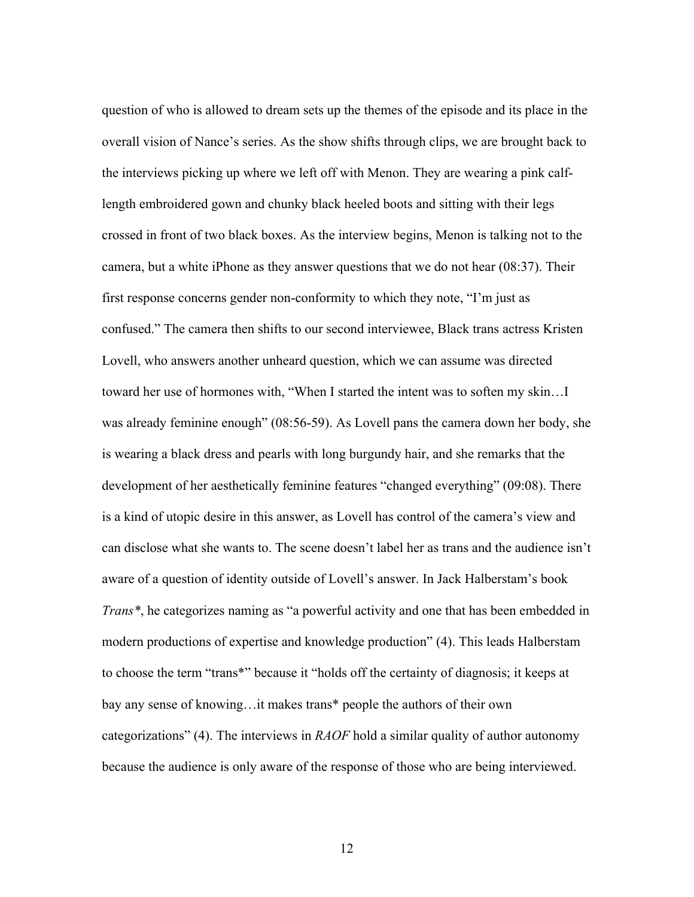question of who is allowed to dream sets up the themes of the episode and its place in the overall vision of Nance's series. As the show shifts through clips, we are brought back to the interviews picking up where we left off with Menon. They are wearing a pink calflength embroidered gown and chunky black heeled boots and sitting with their legs crossed in front of two black boxes. As the interview begins, Menon is talking not to the camera, but a white iPhone as they answer questions that we do not hear (08:37). Their first response concerns gender non-conformity to which they note, "I'm just as confused." The camera then shifts to our second interviewee, Black trans actress Kristen Lovell, who answers another unheard question, which we can assume was directed toward her use of hormones with, "When I started the intent was to soften my skin…I was already feminine enough" (08:56-59). As Lovell pans the camera down her body, she is wearing a black dress and pearls with long burgundy hair, and she remarks that the development of her aesthetically feminine features "changed everything" (09:08). There is a kind of utopic desire in this answer, as Lovell has control of the camera's view and can disclose what she wants to. The scene doesn't label her as trans and the audience isn't aware of a question of identity outside of Lovell's answer. In Jack Halberstam's book *Trans\**, he categorizes naming as "a powerful activity and one that has been embedded in modern productions of expertise and knowledge production" (4). This leads Halberstam to choose the term "trans\*" because it "holds off the certainty of diagnosis; it keeps at bay any sense of knowing…it makes trans\* people the authors of their own categorizations" (4). The interviews in *RAOF* hold a similar quality of author autonomy because the audience is only aware of the response of those who are being interviewed.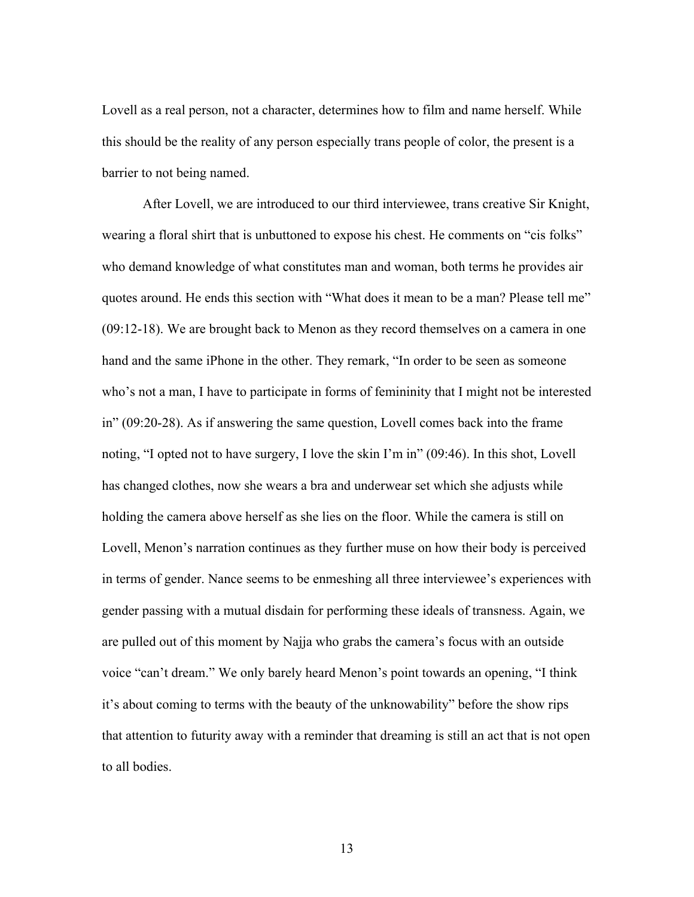Lovell as a real person, not a character, determines how to film and name herself. While this should be the reality of any person especially trans people of color, the present is a barrier to not being named.

After Lovell, we are introduced to our third interviewee, trans creative Sir Knight, wearing a floral shirt that is unbuttoned to expose his chest. He comments on "cis folks" who demand knowledge of what constitutes man and woman, both terms he provides air quotes around. He ends this section with "What does it mean to be a man? Please tell me" (09:12-18). We are brought back to Menon as they record themselves on a camera in one hand and the same iPhone in the other. They remark, "In order to be seen as someone who's not a man, I have to participate in forms of femininity that I might not be interested in" (09:20-28). As if answering the same question, Lovell comes back into the frame noting, "I opted not to have surgery, I love the skin I'm in" (09:46). In this shot, Lovell has changed clothes, now she wears a bra and underwear set which she adjusts while holding the camera above herself as she lies on the floor. While the camera is still on Lovell, Menon's narration continues as they further muse on how their body is perceived in terms of gender. Nance seems to be enmeshing all three interviewee's experiences with gender passing with a mutual disdain for performing these ideals of transness. Again, we are pulled out of this moment by Najja who grabs the camera's focus with an outside voice "can't dream." We only barely heard Menon's point towards an opening, "I think it's about coming to terms with the beauty of the unknowability" before the show rips that attention to futurity away with a reminder that dreaming is still an act that is not open to all bodies.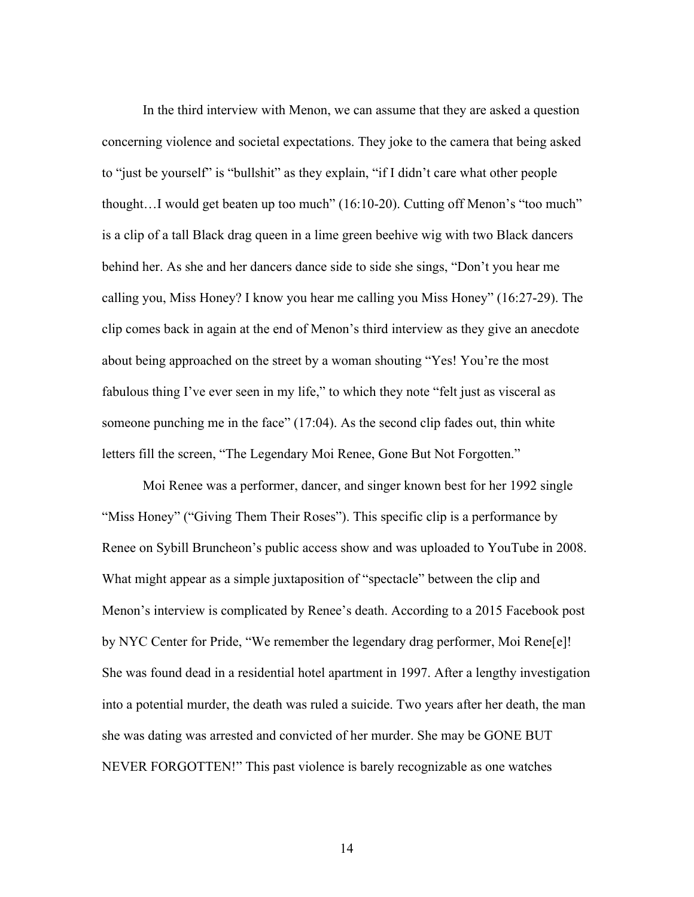In the third interview with Menon, we can assume that they are asked a question concerning violence and societal expectations. They joke to the camera that being asked to "just be yourself" is "bullshit" as they explain, "if I didn't care what other people thought…I would get beaten up too much" (16:10-20). Cutting off Menon's "too much" is a clip of a tall Black drag queen in a lime green beehive wig with two Black dancers behind her. As she and her dancers dance side to side she sings, "Don't you hear me calling you, Miss Honey? I know you hear me calling you Miss Honey" (16:27-29). The clip comes back in again at the end of Menon's third interview as they give an anecdote about being approached on the street by a woman shouting "Yes! You're the most fabulous thing I've ever seen in my life," to which they note "felt just as visceral as someone punching me in the face" (17:04). As the second clip fades out, thin white letters fill the screen, "The Legendary Moi Renee, Gone But Not Forgotten."

Moi Renee was a performer, dancer, and singer known best for her 1992 single "Miss Honey" ("Giving Them Their Roses"). This specific clip is a performance by Renee on Sybill Bruncheon's public access show and was uploaded to YouTube in 2008. What might appear as a simple juxtaposition of "spectacle" between the clip and Menon's interview is complicated by Renee's death. According to a 2015 Facebook post by NYC Center for Pride, "We remember the legendary drag performer, Moi Rene[e]! She was found dead in a residential hotel apartment in 1997. After a lengthy investigation into a potential murder, the death was ruled a suicide. Two years after her death, the man she was dating was arrested and convicted of her murder. She may be GONE BUT NEVER FORGOTTEN!" This past violence is barely recognizable as one watches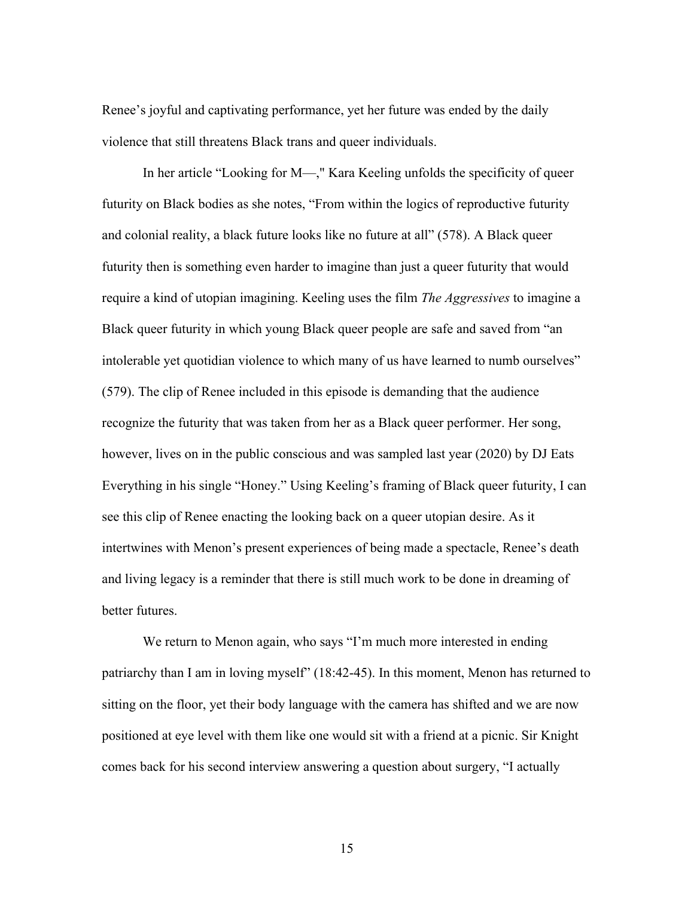Renee's joyful and captivating performance, yet her future was ended by the daily violence that still threatens Black trans and queer individuals.

In her article "Looking for M—," Kara Keeling unfolds the specificity of queer futurity on Black bodies as she notes, "From within the logics of reproductive futurity and colonial reality, a black future looks like no future at all" (578). A Black queer futurity then is something even harder to imagine than just a queer futurity that would require a kind of utopian imagining. Keeling uses the film *The Aggressives* to imagine a Black queer futurity in which young Black queer people are safe and saved from "an intolerable yet quotidian violence to which many of us have learned to numb ourselves" (579). The clip of Renee included in this episode is demanding that the audience recognize the futurity that was taken from her as a Black queer performer. Her song, however, lives on in the public conscious and was sampled last year (2020) by DJ Eats Everything in his single "Honey." Using Keeling's framing of Black queer futurity, I can see this clip of Renee enacting the looking back on a queer utopian desire. As it intertwines with Menon's present experiences of being made a spectacle, Renee's death and living legacy is a reminder that there is still much work to be done in dreaming of better futures.

We return to Menon again, who says "I'm much more interested in ending patriarchy than I am in loving myself" (18:42-45). In this moment, Menon has returned to sitting on the floor, yet their body language with the camera has shifted and we are now positioned at eye level with them like one would sit with a friend at a picnic. Sir Knight comes back for his second interview answering a question about surgery, "I actually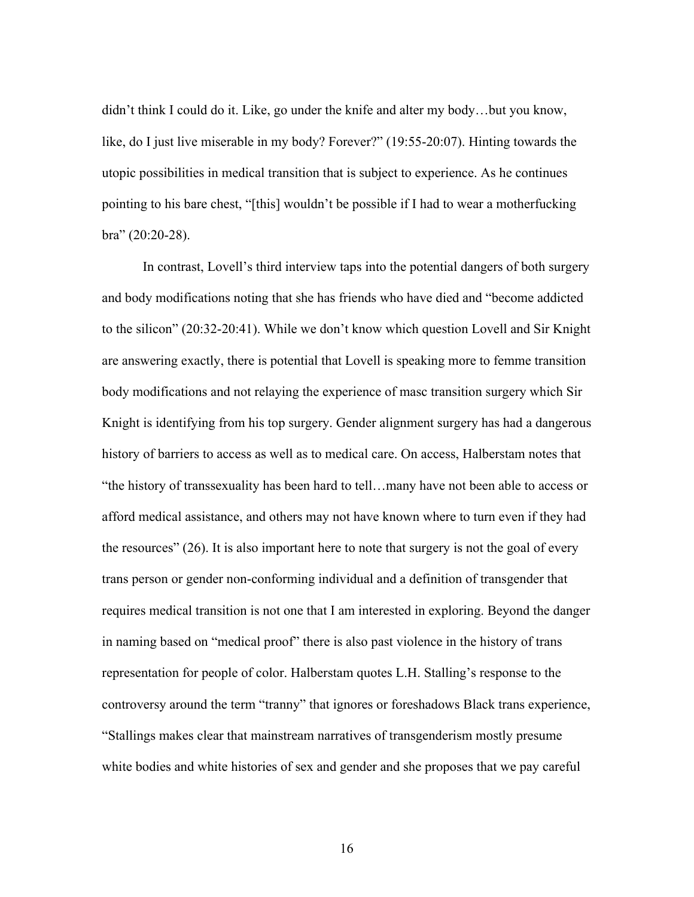didn't think I could do it. Like, go under the knife and alter my body…but you know, like, do I just live miserable in my body? Forever?" (19:55-20:07). Hinting towards the utopic possibilities in medical transition that is subject to experience. As he continues pointing to his bare chest, "[this] wouldn't be possible if I had to wear a motherfucking bra" (20:20-28).

In contrast, Lovell's third interview taps into the potential dangers of both surgery and body modifications noting that she has friends who have died and "become addicted to the silicon" (20:32-20:41). While we don't know which question Lovell and Sir Knight are answering exactly, there is potential that Lovell is speaking more to femme transition body modifications and not relaying the experience of masc transition surgery which Sir Knight is identifying from his top surgery. Gender alignment surgery has had a dangerous history of barriers to access as well as to medical care. On access, Halberstam notes that "the history of transsexuality has been hard to tell…many have not been able to access or afford medical assistance, and others may not have known where to turn even if they had the resources" (26). It is also important here to note that surgery is not the goal of every trans person or gender non-conforming individual and a definition of transgender that requires medical transition is not one that I am interested in exploring. Beyond the danger in naming based on "medical proof" there is also past violence in the history of trans representation for people of color. Halberstam quotes L.H. Stalling's response to the controversy around the term "tranny" that ignores or foreshadows Black trans experience, "Stallings makes clear that mainstream narratives of transgenderism mostly presume white bodies and white histories of sex and gender and she proposes that we pay careful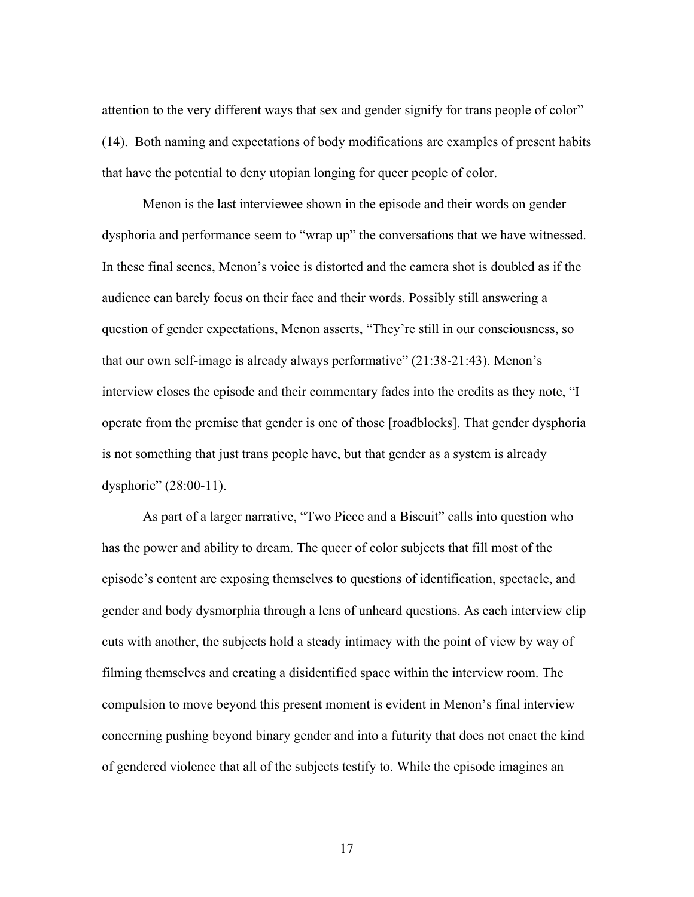attention to the very different ways that sex and gender signify for trans people of color" (14). Both naming and expectations of body modifications are examples of present habits that have the potential to deny utopian longing for queer people of color.

Menon is the last interviewee shown in the episode and their words on gender dysphoria and performance seem to "wrap up" the conversations that we have witnessed. In these final scenes, Menon's voice is distorted and the camera shot is doubled as if the audience can barely focus on their face and their words. Possibly still answering a question of gender expectations, Menon asserts, "They're still in our consciousness, so that our own self-image is already always performative" (21:38-21:43). Menon's interview closes the episode and their commentary fades into the credits as they note, "I operate from the premise that gender is one of those [roadblocks]. That gender dysphoria is not something that just trans people have, but that gender as a system is already dysphoric" (28:00-11).

As part of a larger narrative, "Two Piece and a Biscuit" calls into question who has the power and ability to dream. The queer of color subjects that fill most of the episode's content are exposing themselves to questions of identification, spectacle, and gender and body dysmorphia through a lens of unheard questions. As each interview clip cuts with another, the subjects hold a steady intimacy with the point of view by way of filming themselves and creating a disidentified space within the interview room. The compulsion to move beyond this present moment is evident in Menon's final interview concerning pushing beyond binary gender and into a futurity that does not enact the kind of gendered violence that all of the subjects testify to. While the episode imagines an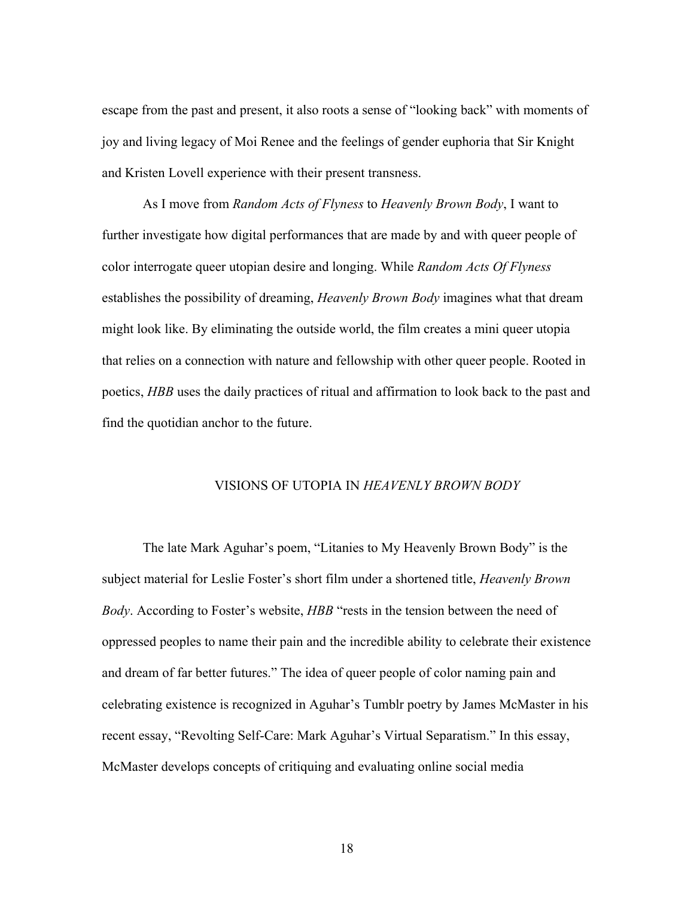escape from the past and present, it also roots a sense of "looking back" with moments of joy and living legacy of Moi Renee and the feelings of gender euphoria that Sir Knight and Kristen Lovell experience with their present transness.

As I move from *Random Acts of Flyness* to *Heavenly Brown Body*, I want to further investigate how digital performances that are made by and with queer people of color interrogate queer utopian desire and longing. While *Random Acts Of Flyness*  establishes the possibility of dreaming, *Heavenly Brown Body* imagines what that dream might look like. By eliminating the outside world, the film creates a mini queer utopia that relies on a connection with nature and fellowship with other queer people. Rooted in poetics, *HBB* uses the daily practices of ritual and affirmation to look back to the past and find the quotidian anchor to the future.

# VISIONS OF UTOPIA IN *HEAVENLY BROWN BODY*

The late Mark Aguhar's poem, "Litanies to My Heavenly Brown Body" is the subject material for Leslie Foster's short film under a shortened title, *Heavenly Brown Body*. According to Foster's website, *HBB* "rests in the tension between the need of oppressed peoples to name their pain and the incredible ability to celebrate their existence and dream of far better futures." The idea of queer people of color naming pain and celebrating existence is recognized in Aguhar's Tumblr poetry by James McMaster in his recent essay, "Revolting Self-Care: Mark Aguhar's Virtual Separatism." In this essay, McMaster develops concepts of critiquing and evaluating online social media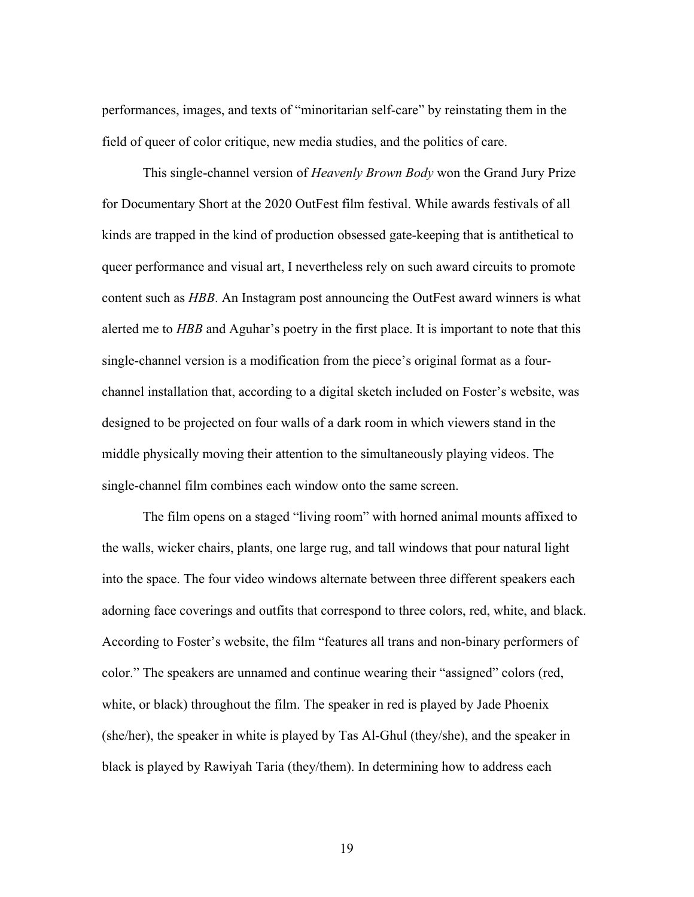performances, images, and texts of "minoritarian self-care" by reinstating them in the field of queer of color critique, new media studies, and the politics of care.

This single-channel version of *Heavenly Brown Body* won the Grand Jury Prize for Documentary Short at the 2020 OutFest film festival. While awards festivals of all kinds are trapped in the kind of production obsessed gate-keeping that is antithetical to queer performance and visual art, I nevertheless rely on such award circuits to promote content such as *HBB*. An Instagram post announcing the OutFest award winners is what alerted me to *HBB* and Aguhar's poetry in the first place. It is important to note that this single-channel version is a modification from the piece's original format as a fourchannel installation that, according to a digital sketch included on Foster's website, was designed to be projected on four walls of a dark room in which viewers stand in the middle physically moving their attention to the simultaneously playing videos. The single-channel film combines each window onto the same screen.

The film opens on a staged "living room" with horned animal mounts affixed to the walls, wicker chairs, plants, one large rug, and tall windows that pour natural light into the space. The four video windows alternate between three different speakers each adorning face coverings and outfits that correspond to three colors, red, white, and black. According to Foster's website, the film "features all trans and non-binary performers of color." The speakers are unnamed and continue wearing their "assigned" colors (red, white, or black) throughout the film. The speaker in red is played by Jade Phoenix (she/her), the speaker in white is played by Tas Al-Ghul (they/she), and the speaker in black is played by Rawiyah Taria (they/them). In determining how to address each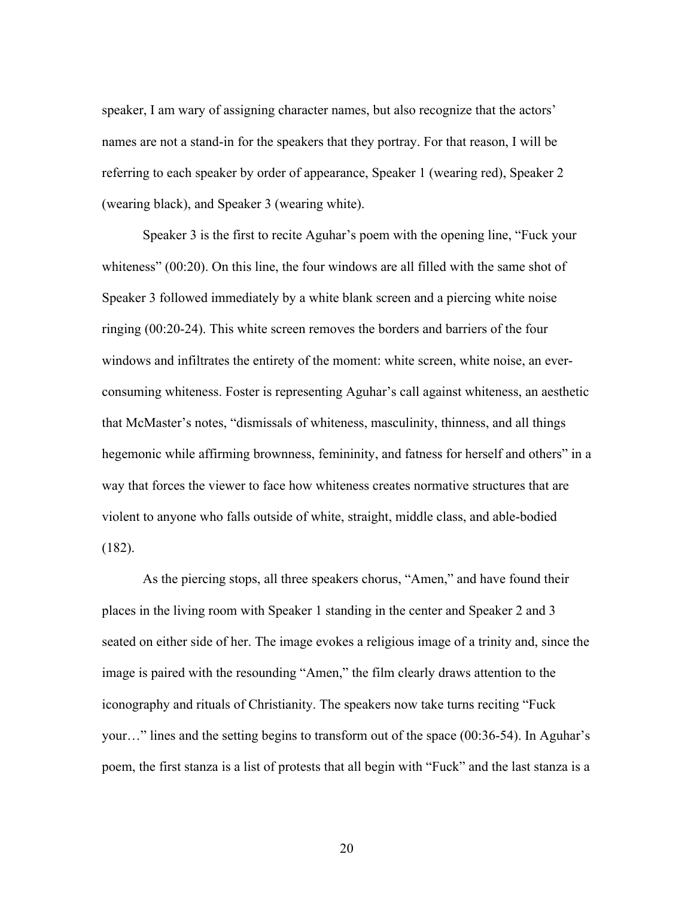speaker, I am wary of assigning character names, but also recognize that the actors' names are not a stand-in for the speakers that they portray. For that reason, I will be referring to each speaker by order of appearance, Speaker 1 (wearing red), Speaker 2 (wearing black), and Speaker 3 (wearing white).

Speaker 3 is the first to recite Aguhar's poem with the opening line, "Fuck your whiteness" (00:20). On this line, the four windows are all filled with the same shot of Speaker 3 followed immediately by a white blank screen and a piercing white noise ringing (00:20-24). This white screen removes the borders and barriers of the four windows and infiltrates the entirety of the moment: white screen, white noise, an everconsuming whiteness. Foster is representing Aguhar's call against whiteness, an aesthetic that McMaster's notes, "dismissals of whiteness, masculinity, thinness, and all things hegemonic while affirming brownness, femininity, and fatness for herself and others" in a way that forces the viewer to face how whiteness creates normative structures that are violent to anyone who falls outside of white, straight, middle class, and able-bodied (182).

As the piercing stops, all three speakers chorus, "Amen," and have found their places in the living room with Speaker 1 standing in the center and Speaker 2 and 3 seated on either side of her. The image evokes a religious image of a trinity and, since the image is paired with the resounding "Amen," the film clearly draws attention to the iconography and rituals of Christianity. The speakers now take turns reciting "Fuck your…" lines and the setting begins to transform out of the space (00:36-54). In Aguhar's poem, the first stanza is a list of protests that all begin with "Fuck" and the last stanza is a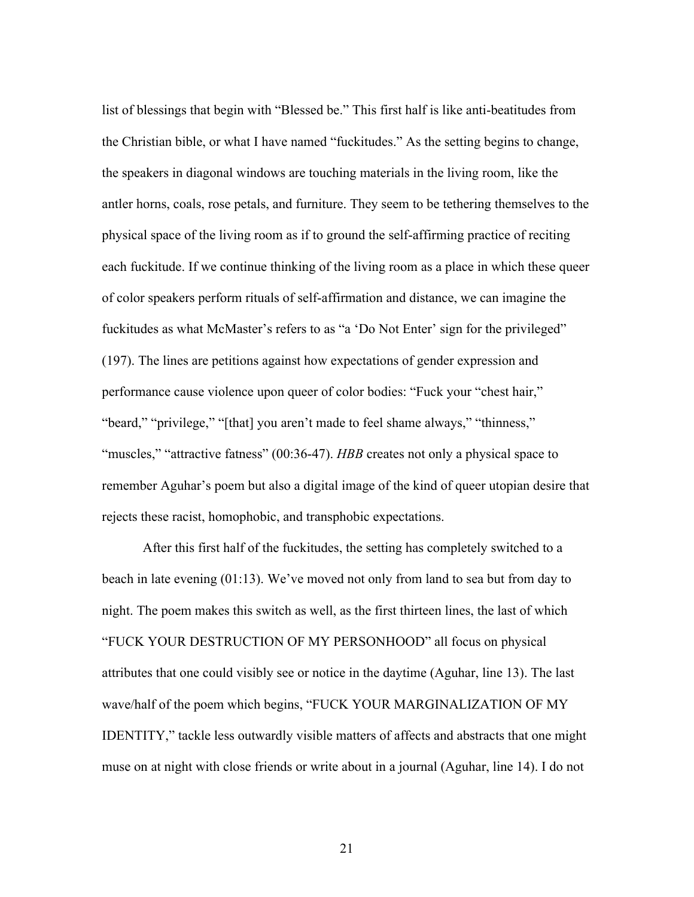list of blessings that begin with "Blessed be." This first half is like anti-beatitudes from the Christian bible, or what I have named "fuckitudes." As the setting begins to change, the speakers in diagonal windows are touching materials in the living room, like the antler horns, coals, rose petals, and furniture. They seem to be tethering themselves to the physical space of the living room as if to ground the self-affirming practice of reciting each fuckitude. If we continue thinking of the living room as a place in which these queer of color speakers perform rituals of self-affirmation and distance, we can imagine the fuckitudes as what McMaster's refers to as "a 'Do Not Enter' sign for the privileged" (197). The lines are petitions against how expectations of gender expression and performance cause violence upon queer of color bodies: "Fuck your "chest hair," "beard," "privilege," "[that] you aren't made to feel shame always," "thinness," "muscles," "attractive fatness" (00:36-47). *HBB* creates not only a physical space to remember Aguhar's poem but also a digital image of the kind of queer utopian desire that rejects these racist, homophobic, and transphobic expectations.

After this first half of the fuckitudes, the setting has completely switched to a beach in late evening (01:13). We've moved not only from land to sea but from day to night. The poem makes this switch as well, as the first thirteen lines, the last of which "FUCK YOUR DESTRUCTION OF MY PERSONHOOD" all focus on physical attributes that one could visibly see or notice in the daytime (Aguhar, line 13). The last wave/half of the poem which begins, "FUCK YOUR MARGINALIZATION OF MY IDENTITY," tackle less outwardly visible matters of affects and abstracts that one might muse on at night with close friends or write about in a journal (Aguhar, line 14). I do not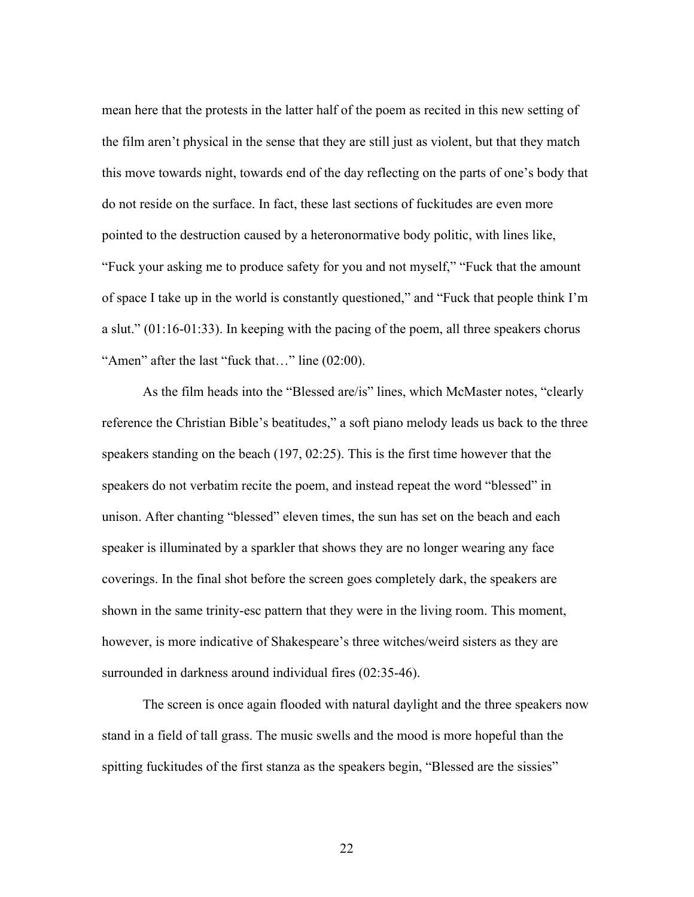mean here that the protests in the latter half of the poem as recited in this new setting of the film aren't physical in the sense that they are still just as violent, but that they match this move towards night, towards end of the day reflecting on the parts of one's body that do not reside on the surface. In fact, these last sections of fuckitudes are even more pointed to the destruction caused by a heteronormative body politic, with lines like, "Fuck your asking me to produce safety for you and not myself," "Fuck that the amount of space I take up in the world is constantly questioned," and "Fuck that people think I'm a slut." (01:16-01:33). In keeping with the pacing of the poem, all three speakers chorus "Amen" after the last "fuck that…" line (02:00).

As the film heads into the "Blessed are/is" lines, which McMaster notes, "clearly reference the Christian Bible's beatitudes," a soft piano melody leads us back to the three speakers standing on the beach (197, 02:25). This is the first time however that the speakers do not verbatim recite the poem, and instead repeat the word "blessed" in unison. After chanting "blessed" eleven times, the sun has set on the beach and each speaker is illuminated by a sparkler that shows they are no longer wearing any face coverings. In the final shot before the screen goes completely dark, the speakers are shown in the same trinity-esc pattern that they were in the living room. This moment, however, is more indicative of Shakespeare's three witches/weird sisters as they are surrounded in darkness around individual fires (02:35-46).

The screen is once again flooded with natural daylight and the three speakers now stand in a field of tall grass. The music swells and the mood is more hopeful than the spitting fuckitudes of the first stanza as the speakers begin, "Blessed are the sissies"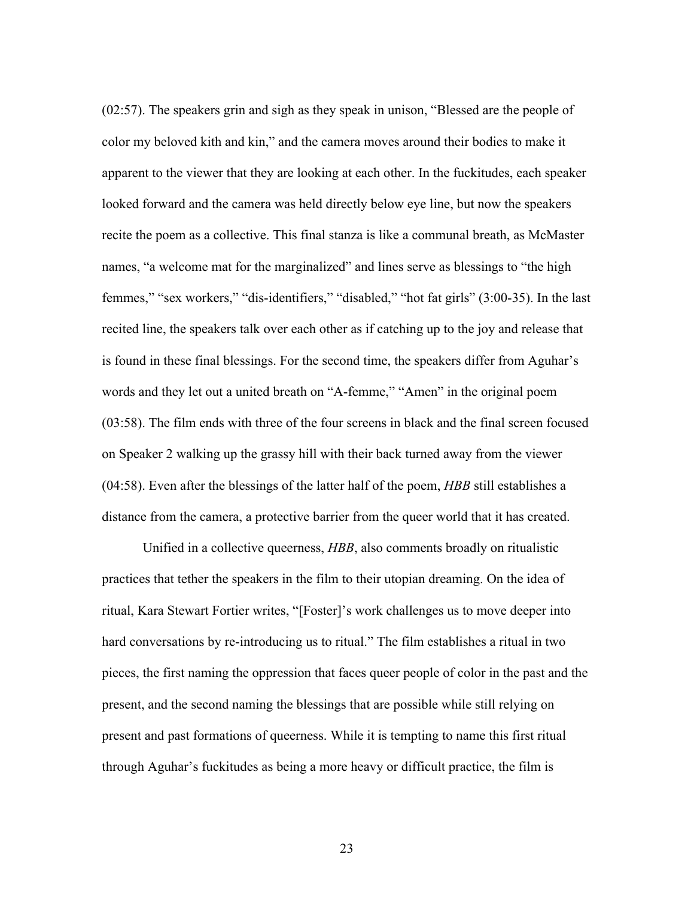(02:57). The speakers grin and sigh as they speak in unison, "Blessed are the people of color my beloved kith and kin," and the camera moves around their bodies to make it apparent to the viewer that they are looking at each other. In the fuckitudes, each speaker looked forward and the camera was held directly below eye line, but now the speakers recite the poem as a collective. This final stanza is like a communal breath, as McMaster names, "a welcome mat for the marginalized" and lines serve as blessings to "the high femmes," "sex workers," "dis-identifiers," "disabled," "hot fat girls" (3:00-35). In the last recited line, the speakers talk over each other as if catching up to the joy and release that is found in these final blessings. For the second time, the speakers differ from Aguhar's words and they let out a united breath on "A-femme," "Amen" in the original poem (03:58). The film ends with three of the four screens in black and the final screen focused on Speaker 2 walking up the grassy hill with their back turned away from the viewer (04:58). Even after the blessings of the latter half of the poem, *HBB* still establishes a distance from the camera, a protective barrier from the queer world that it has created.

Unified in a collective queerness, *HBB*, also comments broadly on ritualistic practices that tether the speakers in the film to their utopian dreaming. On the idea of ritual, Kara Stewart Fortier writes, "[Foster]'s work challenges us to move deeper into hard conversations by re-introducing us to ritual." The film establishes a ritual in two pieces, the first naming the oppression that faces queer people of color in the past and the present, and the second naming the blessings that are possible while still relying on present and past formations of queerness. While it is tempting to name this first ritual through Aguhar's fuckitudes as being a more heavy or difficult practice, the film is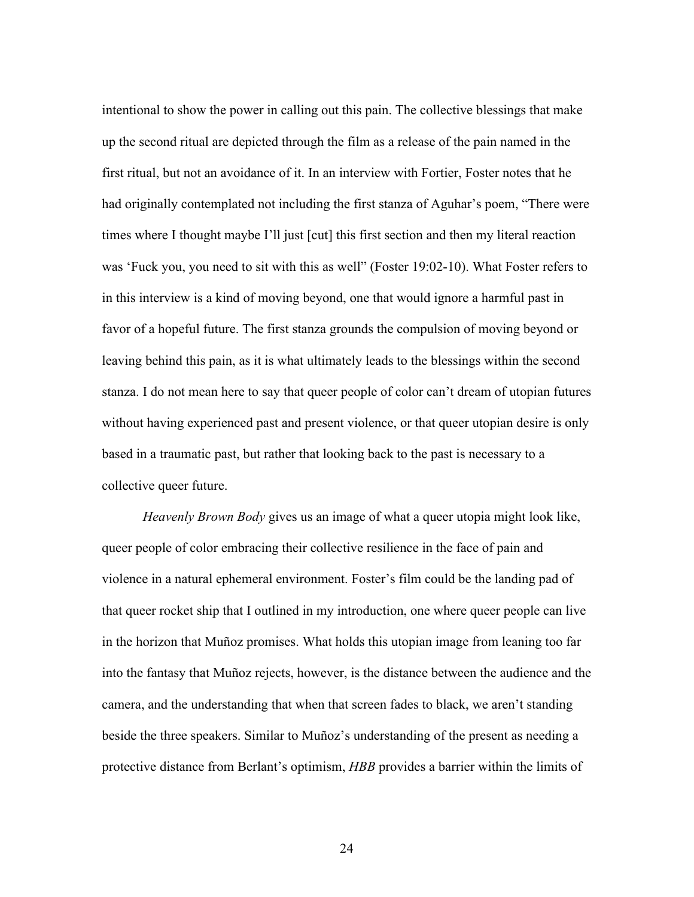intentional to show the power in calling out this pain. The collective blessings that make up the second ritual are depicted through the film as a release of the pain named in the first ritual, but not an avoidance of it. In an interview with Fortier, Foster notes that he had originally contemplated not including the first stanza of Aguhar's poem, "There were times where I thought maybe I'll just [cut] this first section and then my literal reaction was 'Fuck you, you need to sit with this as well" (Foster 19:02-10). What Foster refers to in this interview is a kind of moving beyond, one that would ignore a harmful past in favor of a hopeful future. The first stanza grounds the compulsion of moving beyond or leaving behind this pain, as it is what ultimately leads to the blessings within the second stanza. I do not mean here to say that queer people of color can't dream of utopian futures without having experienced past and present violence, or that queer utopian desire is only based in a traumatic past, but rather that looking back to the past is necessary to a collective queer future.

*Heavenly Brown Body* gives us an image of what a queer utopia might look like, queer people of color embracing their collective resilience in the face of pain and violence in a natural ephemeral environment. Foster's film could be the landing pad of that queer rocket ship that I outlined in my introduction, one where queer people can live in the horizon that Muñoz promises. What holds this utopian image from leaning too far into the fantasy that Muñoz rejects, however, is the distance between the audience and the camera, and the understanding that when that screen fades to black, we aren't standing beside the three speakers. Similar to Muñoz's understanding of the present as needing a protective distance from Berlant's optimism, *HBB* provides a barrier within the limits of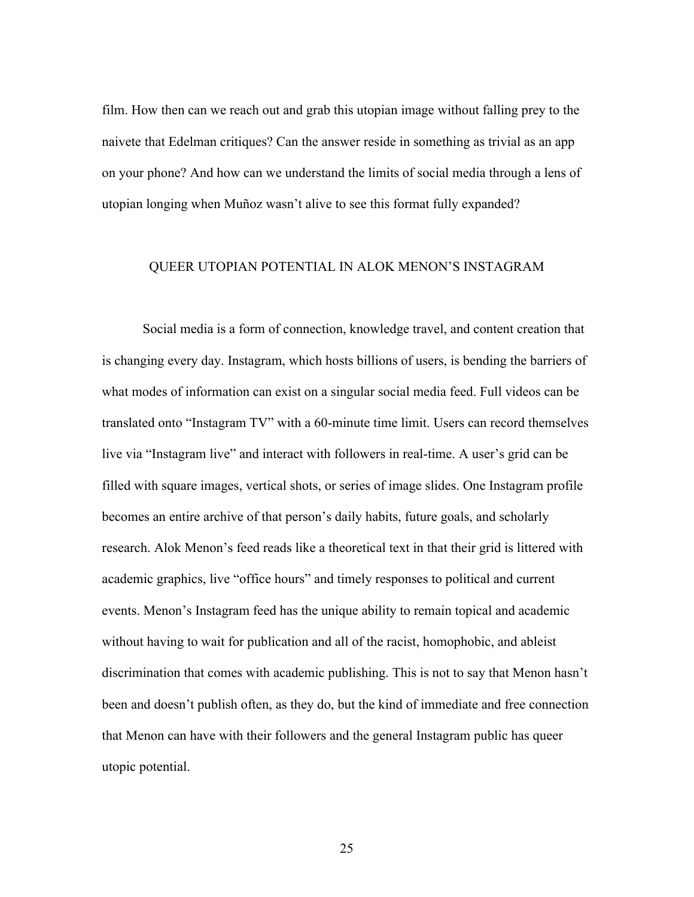film. How then can we reach out and grab this utopian image without falling prey to the naivete that Edelman critiques? Can the answer reside in something as trivial as an app on your phone? And how can we understand the limits of social media through a lens of utopian longing when Muñoz wasn't alive to see this format fully expanded?

### QUEER UTOPIAN POTENTIAL IN ALOK MENON'S INSTAGRAM

Social media is a form of connection, knowledge travel, and content creation that is changing every day. Instagram, which hosts billions of users, is bending the barriers of what modes of information can exist on a singular social media feed. Full videos can be translated onto "Instagram TV" with a 60-minute time limit. Users can record themselves live via "Instagram live" and interact with followers in real-time. A user's grid can be filled with square images, vertical shots, or series of image slides. One Instagram profile becomes an entire archive of that person's daily habits, future goals, and scholarly research. Alok Menon's feed reads like a theoretical text in that their grid is littered with academic graphics, live "office hours" and timely responses to political and current events. Menon's Instagram feed has the unique ability to remain topical and academic without having to wait for publication and all of the racist, homophobic, and ableist discrimination that comes with academic publishing. This is not to say that Menon hasn't been and doesn't publish often, as they do, but the kind of immediate and free connection that Menon can have with their followers and the general Instagram public has queer utopic potential.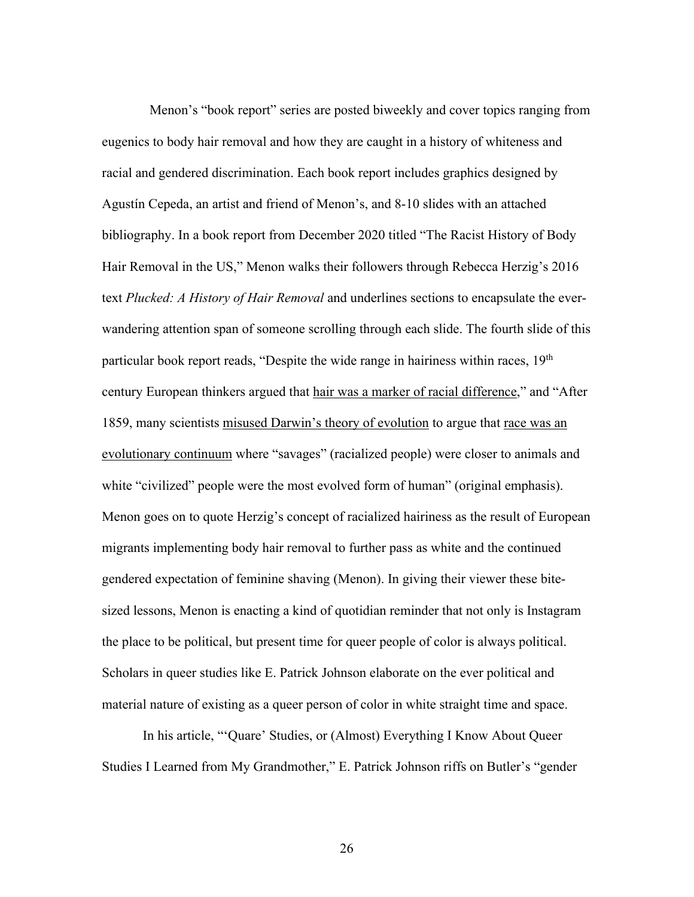Menon's "book report" series are posted biweekly and cover topics ranging from eugenics to body hair removal and how they are caught in a history of whiteness and racial and gendered discrimination. Each book report includes graphics designed by Agustín Cepeda, an artist and friend of Menon's, and 8-10 slides with an attached bibliography. In a book report from December 2020 titled "The Racist History of Body Hair Removal in the US," Menon walks their followers through Rebecca Herzig's 2016 text *Plucked: A History of Hair Removal* and underlines sections to encapsulate the everwandering attention span of someone scrolling through each slide. The fourth slide of this particular book report reads, "Despite the wide range in hairiness within races, 19<sup>th</sup> century European thinkers argued that hair was a marker of racial difference," and "After 1859, many scientists misused Darwin's theory of evolution to argue that race was an evolutionary continuum where "savages" (racialized people) were closer to animals and white "civilized" people were the most evolved form of human" (original emphasis). Menon goes on to quote Herzig's concept of racialized hairiness as the result of European migrants implementing body hair removal to further pass as white and the continued gendered expectation of feminine shaving (Menon). In giving their viewer these bitesized lessons, Menon is enacting a kind of quotidian reminder that not only is Instagram the place to be political, but present time for queer people of color is always political. Scholars in queer studies like E. Patrick Johnson elaborate on the ever political and material nature of existing as a queer person of color in white straight time and space.

In his article, "'Quare' Studies, or (Almost) Everything I Know About Queer Studies I Learned from My Grandmother," E. Patrick Johnson riffs on Butler's "gender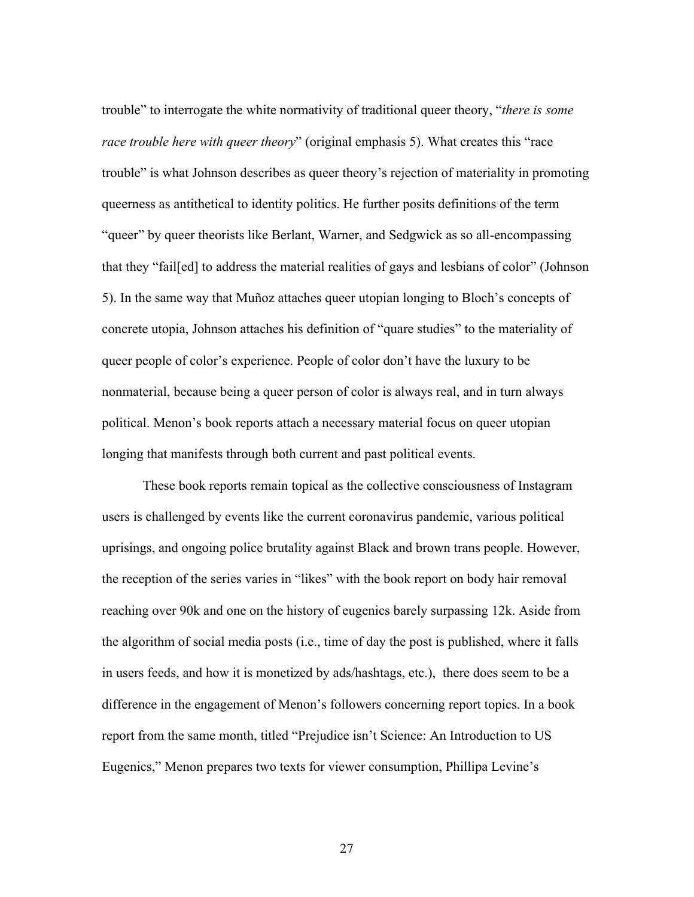trouble" to interrogate the white normativity of traditional queer theory, "*there is some race trouble here with queer theory*" (original emphasis 5). What creates this "race trouble" is what Johnson describes as queer theory's rejection of materiality in promoting queerness as antithetical to identity politics. He further posits definitions of the term "queer" by queer theorists like Berlant, Warner, and Sedgwick as so all-encompassing that they "fail[ed] to address the material realities of gays and lesbians of color" (Johnson 5). In the same way that Muñoz attaches queer utopian longing to Bloch's concepts of concrete utopia, Johnson attaches his definition of "quare studies" to the materiality of queer people of color's experience. People of color don't have the luxury to be nonmaterial, because being a queer person of color is always real, and in turn always political. Menon's book reports attach a necessary material focus on queer utopian longing that manifests through both current and past political events.

These book reports remain topical as the collective consciousness of Instagram users is challenged by events like the current coronavirus pandemic, various political uprisings, and ongoing police brutality against Black and brown trans people. However, the reception of the series varies in "likes" with the book report on body hair removal reaching over 90k and one on the history of eugenics barely surpassing 12k. Aside from the algorithm of social media posts (i.e., time of day the post is published, where it falls in users feeds, and how it is monetized by ads/hashtags, etc.), there does seem to be a difference in the engagement of Menon's followers concerning report topics. In a book report from the same month, titled "Prejudice isn't Science: An Introduction to US Eugenics," Menon prepares two texts for viewer consumption, Phillipa Levine's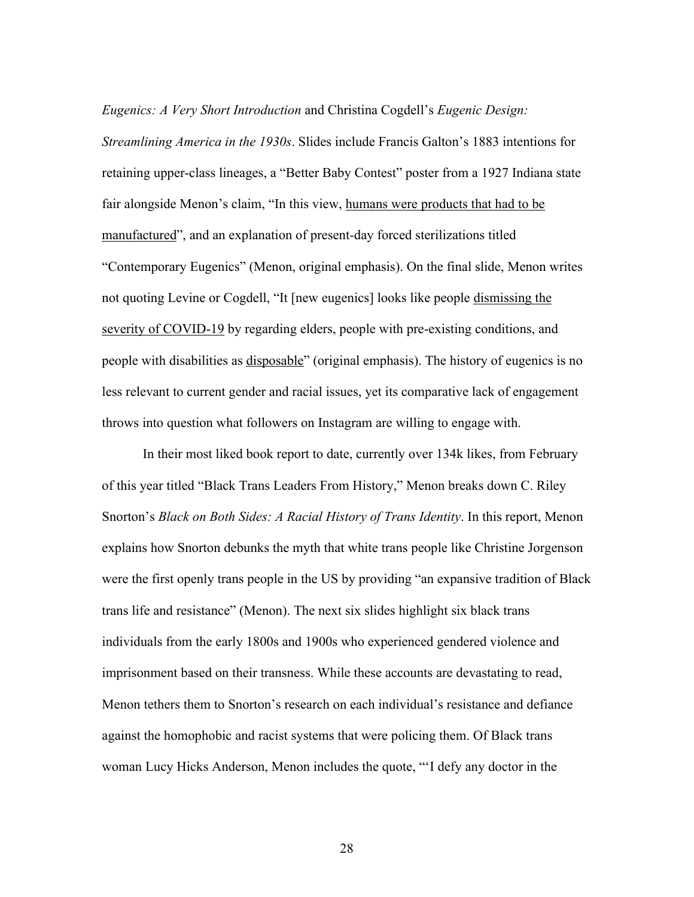*Eugenics: A Very Short Introduction* and Christina Cogdell's *Eugenic Design: Streamlining America in the 1930s*. Slides include Francis Galton's 1883 intentions for retaining upper-class lineages, a "Better Baby Contest" poster from a 1927 Indiana state fair alongside Menon's claim, "In this view, humans were products that had to be manufactured", and an explanation of present-day forced sterilizations titled "Contemporary Eugenics" (Menon, original emphasis). On the final slide, Menon writes not quoting Levine or Cogdell, "It [new eugenics] looks like people dismissing the severity of COVID-19 by regarding elders, people with pre-existing conditions, and people with disabilities as disposable" (original emphasis). The history of eugenics is no less relevant to current gender and racial issues, yet its comparative lack of engagement throws into question what followers on Instagram are willing to engage with.

In their most liked book report to date, currently over 134k likes, from February of this year titled "Black Trans Leaders From History," Menon breaks down C. Riley Snorton's *Black on Both Sides: A Racial History of Trans Identity*. In this report, Menon explains how Snorton debunks the myth that white trans people like Christine Jorgenson were the first openly trans people in the US by providing "an expansive tradition of Black trans life and resistance" (Menon). The next six slides highlight six black trans individuals from the early 1800s and 1900s who experienced gendered violence and imprisonment based on their transness. While these accounts are devastating to read, Menon tethers them to Snorton's research on each individual's resistance and defiance against the homophobic and racist systems that were policing them. Of Black trans woman Lucy Hicks Anderson, Menon includes the quote, "'I defy any doctor in the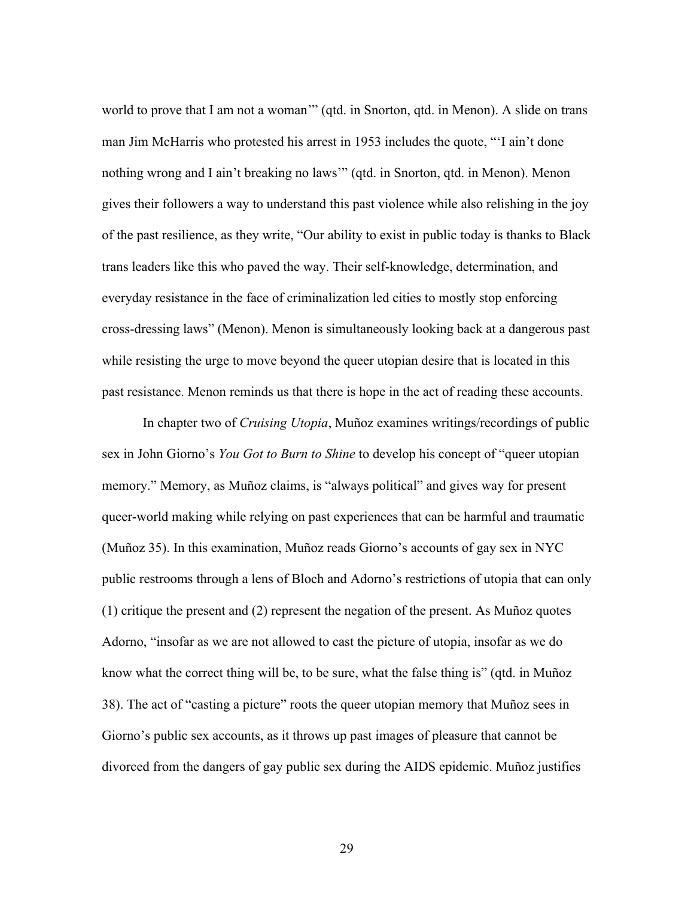world to prove that I am not a woman'" (qtd. in Snorton, qtd. in Menon). A slide on trans man Jim McHarris who protested his arrest in 1953 includes the quote, "'I ain't done nothing wrong and I ain't breaking no laws'" (qtd. in Snorton, qtd. in Menon). Menon gives their followers a way to understand this past violence while also relishing in the joy of the past resilience, as they write, "Our ability to exist in public today is thanks to Black trans leaders like this who paved the way. Their self-knowledge, determination, and everyday resistance in the face of criminalization led cities to mostly stop enforcing cross-dressing laws" (Menon). Menon is simultaneously looking back at a dangerous past while resisting the urge to move beyond the queer utopian desire that is located in this past resistance. Menon reminds us that there is hope in the act of reading these accounts.

In chapter two of *Cruising Utopia*, Muñoz examines writings/recordings of public sex in John Giorno's *You Got to Burn to Shine* to develop his concept of "queer utopian memory." Memory, as Muñoz claims, is "always political" and gives way for present queer-world making while relying on past experiences that can be harmful and traumatic (Muñoz 35). In this examination, Muñoz reads Giorno's accounts of gay sex in NYC public restrooms through a lens of Bloch and Adorno's restrictions of utopia that can only (1) critique the present and (2) represent the negation of the present. As Muñoz quotes Adorno, "insofar as we are not allowed to cast the picture of utopia, insofar as we do know what the correct thing will be, to be sure, what the false thing is" (qtd. in Muñoz 38). The act of "casting a picture" roots the queer utopian memory that Muñoz sees in Giorno's public sex accounts, as it throws up past images of pleasure that cannot be divorced from the dangers of gay public sex during the AIDS epidemic. Muñoz justifies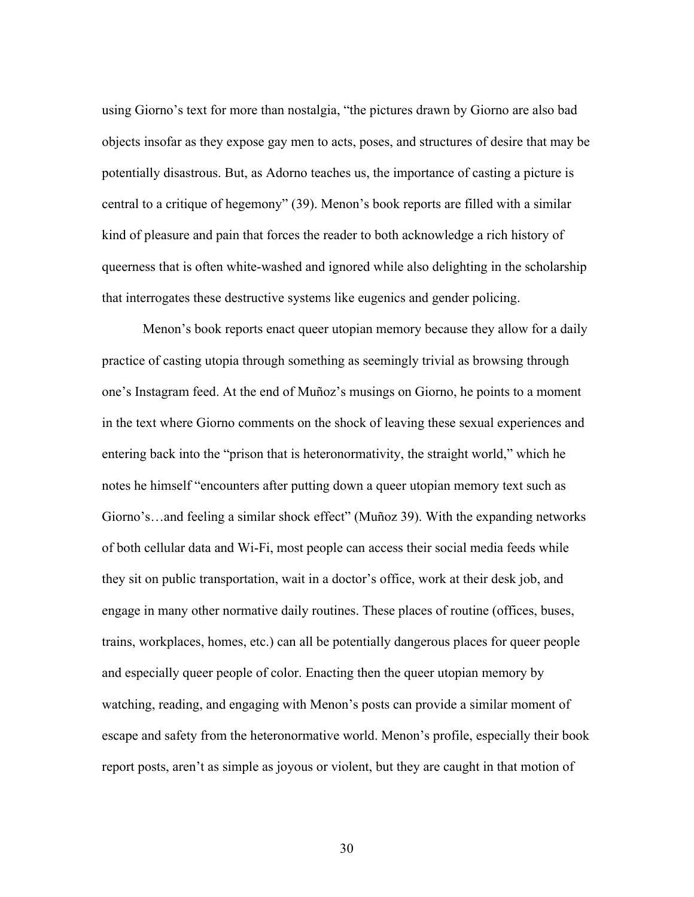using Giorno's text for more than nostalgia, "the pictures drawn by Giorno are also bad objects insofar as they expose gay men to acts, poses, and structures of desire that may be potentially disastrous. But, as Adorno teaches us, the importance of casting a picture is central to a critique of hegemony" (39). Menon's book reports are filled with a similar kind of pleasure and pain that forces the reader to both acknowledge a rich history of queerness that is often white-washed and ignored while also delighting in the scholarship that interrogates these destructive systems like eugenics and gender policing.

Menon's book reports enact queer utopian memory because they allow for a daily practice of casting utopia through something as seemingly trivial as browsing through one's Instagram feed. At the end of Muñoz's musings on Giorno, he points to a moment in the text where Giorno comments on the shock of leaving these sexual experiences and entering back into the "prison that is heteronormativity, the straight world," which he notes he himself "encounters after putting down a queer utopian memory text such as Giorno's…and feeling a similar shock effect" (Muñoz 39). With the expanding networks of both cellular data and Wi-Fi, most people can access their social media feeds while they sit on public transportation, wait in a doctor's office, work at their desk job, and engage in many other normative daily routines. These places of routine (offices, buses, trains, workplaces, homes, etc.) can all be potentially dangerous places for queer people and especially queer people of color. Enacting then the queer utopian memory by watching, reading, and engaging with Menon's posts can provide a similar moment of escape and safety from the heteronormative world. Menon's profile, especially their book report posts, aren't as simple as joyous or violent, but they are caught in that motion of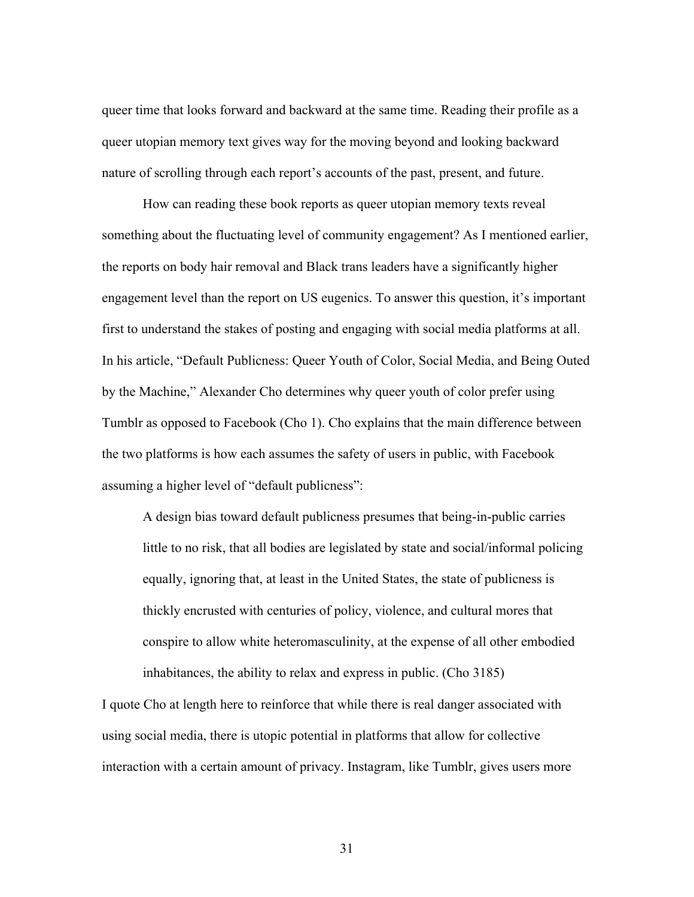queer time that looks forward and backward at the same time. Reading their profile as a queer utopian memory text gives way for the moving beyond and looking backward nature of scrolling through each report's accounts of the past, present, and future.

How can reading these book reports as queer utopian memory texts reveal something about the fluctuating level of community engagement? As I mentioned earlier, the reports on body hair removal and Black trans leaders have a significantly higher engagement level than the report on US eugenics. To answer this question, it's important first to understand the stakes of posting and engaging with social media platforms at all. In his article, "Default Publicness: Queer Youth of Color, Social Media, and Being Outed by the Machine," Alexander Cho determines why queer youth of color prefer using Tumblr as opposed to Facebook (Cho 1). Cho explains that the main difference between the two platforms is how each assumes the safety of users in public, with Facebook assuming a higher level of "default publicness":

A design bias toward default publicness presumes that being-in-public carries little to no risk, that all bodies are legislated by state and social/informal policing equally, ignoring that, at least in the United States, the state of publicness is thickly encrusted with centuries of policy, violence, and cultural mores that conspire to allow white heteromasculinity, at the expense of all other embodied inhabitances, the ability to relax and express in public. (Cho 3185)

I quote Cho at length here to reinforce that while there is real danger associated with using social media, there is utopic potential in platforms that allow for collective interaction with a certain amount of privacy. Instagram, like Tumblr, gives users more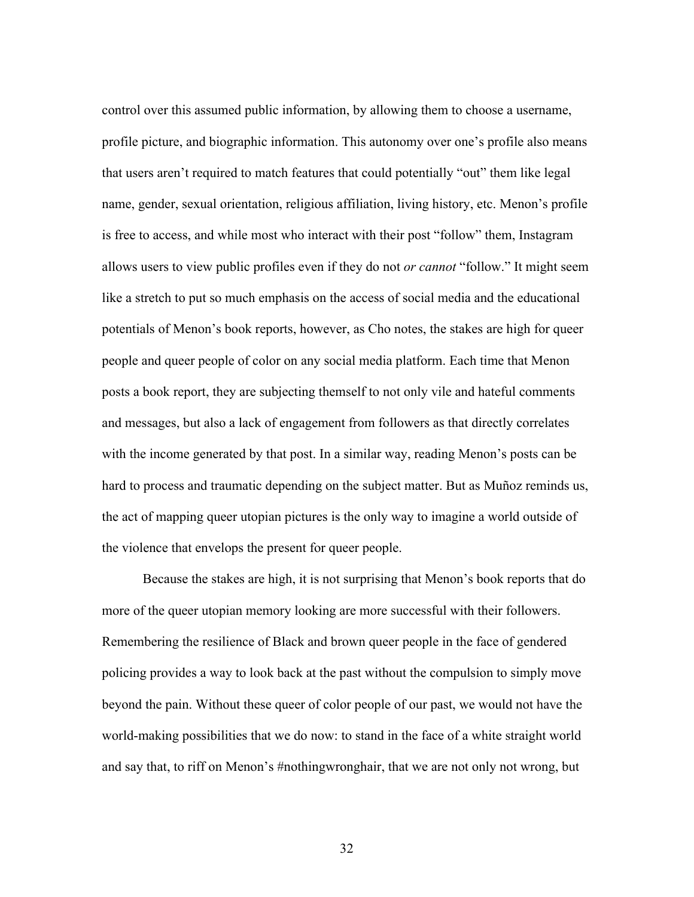control over this assumed public information, by allowing them to choose a username, profile picture, and biographic information. This autonomy over one's profile also means that users aren't required to match features that could potentially "out" them like legal name, gender, sexual orientation, religious affiliation, living history, etc. Menon's profile is free to access, and while most who interact with their post "follow" them, Instagram allows users to view public profiles even if they do not *or cannot* "follow." It might seem like a stretch to put so much emphasis on the access of social media and the educational potentials of Menon's book reports, however, as Cho notes, the stakes are high for queer people and queer people of color on any social media platform. Each time that Menon posts a book report, they are subjecting themself to not only vile and hateful comments and messages, but also a lack of engagement from followers as that directly correlates with the income generated by that post. In a similar way, reading Menon's posts can be hard to process and traumatic depending on the subject matter. But as Muñoz reminds us, the act of mapping queer utopian pictures is the only way to imagine a world outside of the violence that envelops the present for queer people.

Because the stakes are high, it is not surprising that Menon's book reports that do more of the queer utopian memory looking are more successful with their followers. Remembering the resilience of Black and brown queer people in the face of gendered policing provides a way to look back at the past without the compulsion to simply move beyond the pain. Without these queer of color people of our past, we would not have the world-making possibilities that we do now: to stand in the face of a white straight world and say that, to riff on Menon's #nothingwronghair, that we are not only not wrong, but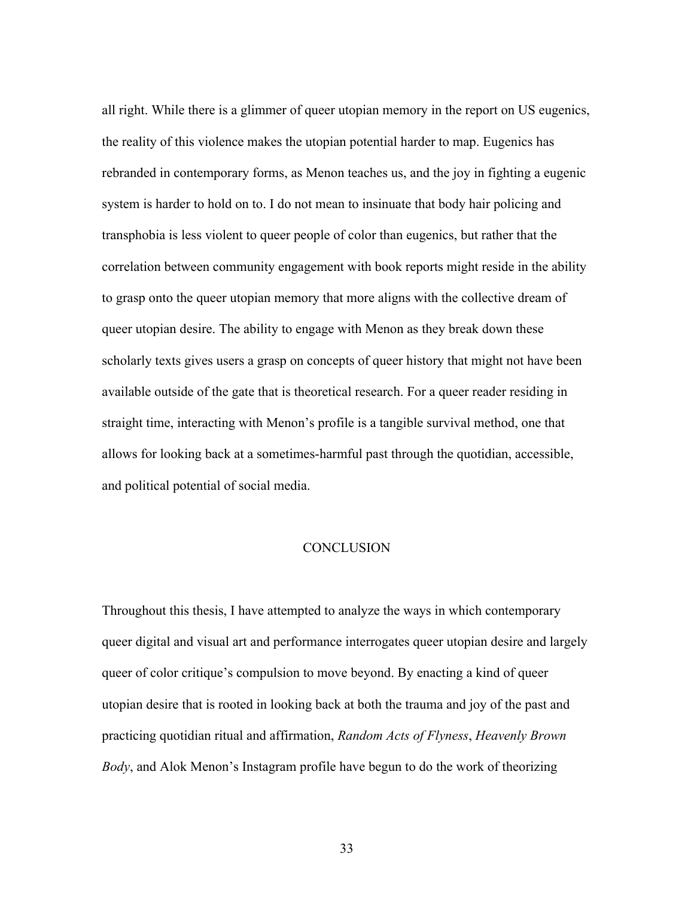all right. While there is a glimmer of queer utopian memory in the report on US eugenics, the reality of this violence makes the utopian potential harder to map. Eugenics has rebranded in contemporary forms, as Menon teaches us, and the joy in fighting a eugenic system is harder to hold on to. I do not mean to insinuate that body hair policing and transphobia is less violent to queer people of color than eugenics, but rather that the correlation between community engagement with book reports might reside in the ability to grasp onto the queer utopian memory that more aligns with the collective dream of queer utopian desire. The ability to engage with Menon as they break down these scholarly texts gives users a grasp on concepts of queer history that might not have been available outside of the gate that is theoretical research. For a queer reader residing in straight time, interacting with Menon's profile is a tangible survival method, one that allows for looking back at a sometimes-harmful past through the quotidian, accessible, and political potential of social media.

# **CONCLUSION**

Throughout this thesis, I have attempted to analyze the ways in which contemporary queer digital and visual art and performance interrogates queer utopian desire and largely queer of color critique's compulsion to move beyond. By enacting a kind of queer utopian desire that is rooted in looking back at both the trauma and joy of the past and practicing quotidian ritual and affirmation, *Random Acts of Flyness*, *Heavenly Brown Body*, and Alok Menon's Instagram profile have begun to do the work of theorizing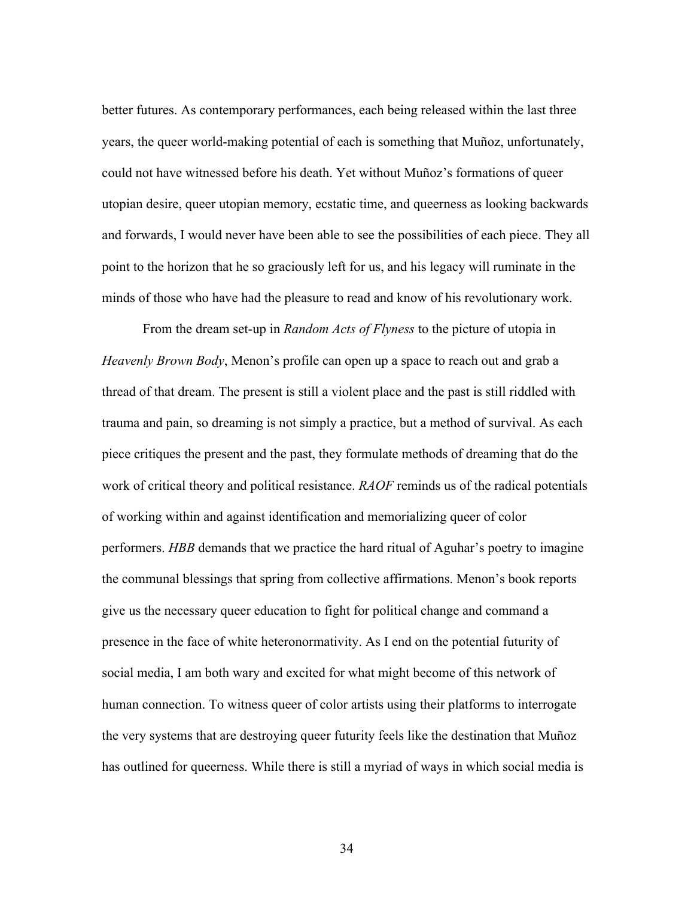better futures. As contemporary performances, each being released within the last three years, the queer world-making potential of each is something that Muñoz, unfortunately, could not have witnessed before his death. Yet without Muñoz's formations of queer utopian desire, queer utopian memory, ecstatic time, and queerness as looking backwards and forwards, I would never have been able to see the possibilities of each piece. They all point to the horizon that he so graciously left for us, and his legacy will ruminate in the minds of those who have had the pleasure to read and know of his revolutionary work.

From the dream set-up in *Random Acts of Flyness* to the picture of utopia in *Heavenly Brown Body*, Menon's profile can open up a space to reach out and grab a thread of that dream. The present is still a violent place and the past is still riddled with trauma and pain, so dreaming is not simply a practice, but a method of survival. As each piece critiques the present and the past, they formulate methods of dreaming that do the work of critical theory and political resistance. *RAOF* reminds us of the radical potentials of working within and against identification and memorializing queer of color performers. *HBB* demands that we practice the hard ritual of Aguhar's poetry to imagine the communal blessings that spring from collective affirmations. Menon's book reports give us the necessary queer education to fight for political change and command a presence in the face of white heteronormativity. As I end on the potential futurity of social media, I am both wary and excited for what might become of this network of human connection. To witness queer of color artists using their platforms to interrogate the very systems that are destroying queer futurity feels like the destination that Muñoz has outlined for queerness. While there is still a myriad of ways in which social media is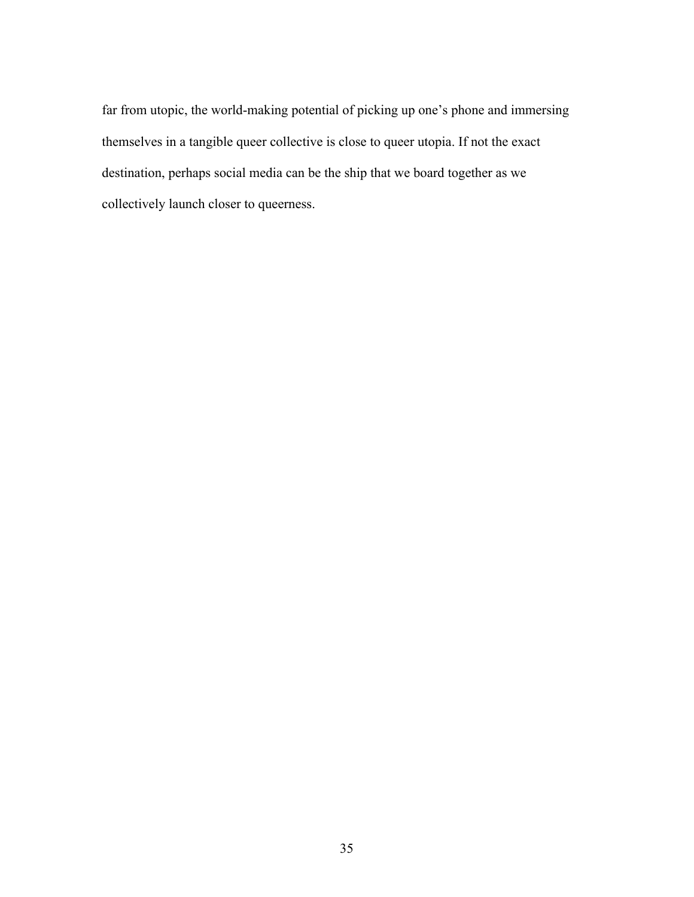far from utopic, the world-making potential of picking up one's phone and immersing themselves in a tangible queer collective is close to queer utopia. If not the exact destination, perhaps social media can be the ship that we board together as we collectively launch closer to queerness.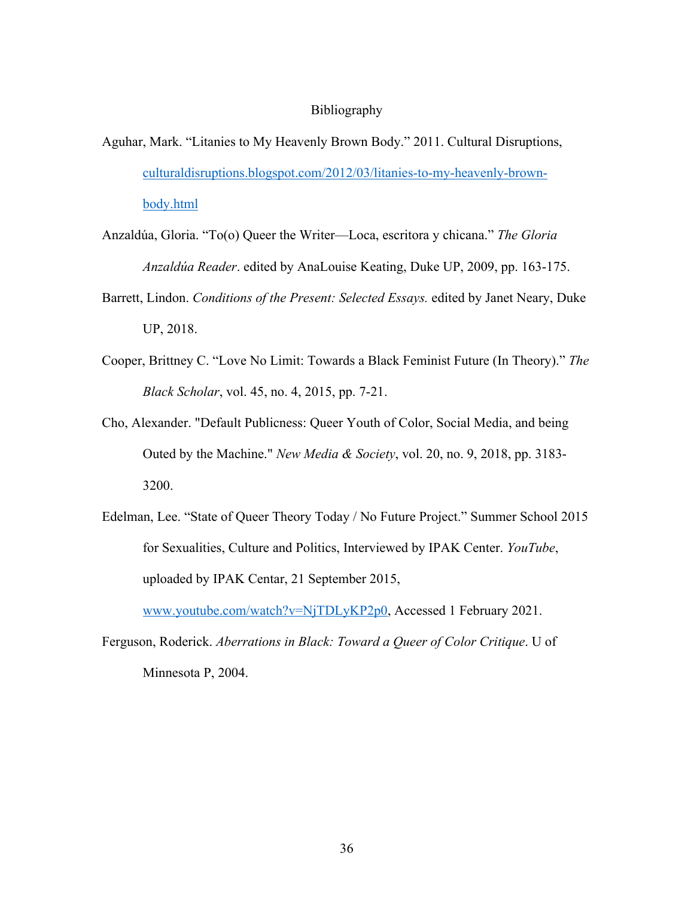#### Bibliography

- Aguhar, Mark. "Litanies to My Heavenly Brown Body." 2011. Cultural Disruptions, culturaldisruptions.blogspot.com/2012/03/litanies-to-my-heavenly-brownbody.html
- Anzaldúa, Gloria. "To(o) Queer the Writer—Loca, escritora y chicana." *The Gloria Anzaldúa Reader*. edited by AnaLouise Keating, Duke UP, 2009, pp. 163-175.
- Barrett, Lindon. *Conditions of the Present: Selected Essays.* edited by Janet Neary, Duke UP, 2018.
- Cooper, Brittney C. "Love No Limit: Towards a Black Feminist Future (In Theory)." *The Black Scholar*, vol. 45, no. 4, 2015, pp. 7-21.
- Cho, Alexander. "Default Publicness: Queer Youth of Color, Social Media, and being Outed by the Machine." *New Media & Society*, vol. 20, no. 9, 2018, pp. 3183- 3200.
- Edelman, Lee. "State of Queer Theory Today / No Future Project." Summer School 2015 for Sexualities, Culture and Politics, Interviewed by IPAK Center. *YouTube*, uploaded by IPAK Centar, 21 September 2015,

www.youtube.com/watch?v=NjTDLyKP2p0, Accessed 1 February 2021.

Ferguson, Roderick. *Aberrations in Black: Toward a Queer of Color Critique*. U of Minnesota P, 2004.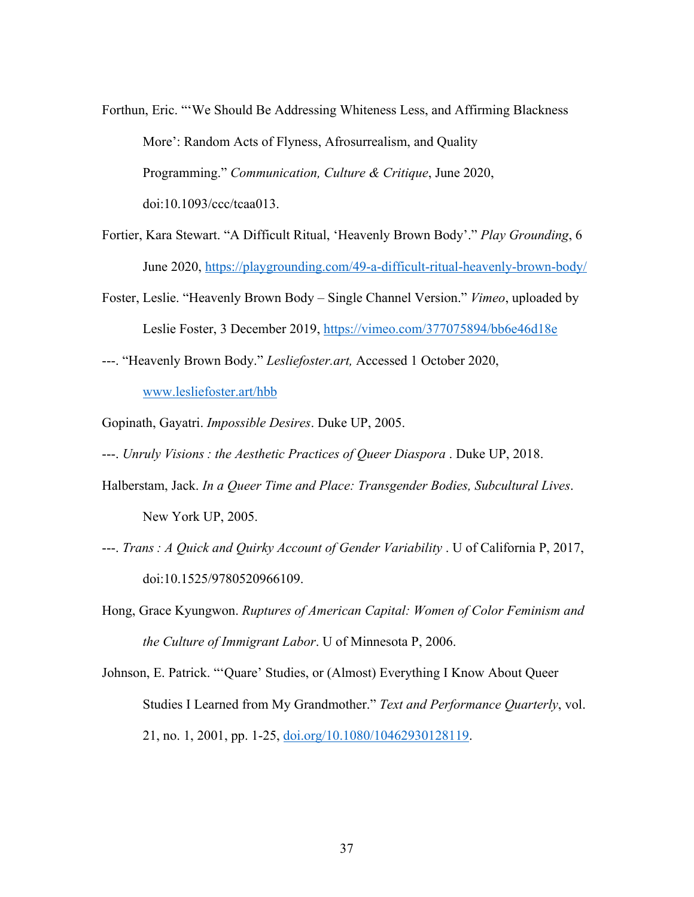- Forthun, Eric. "'We Should Be Addressing Whiteness Less, and Affirming Blackness More': Random Acts of Flyness, Afrosurrealism, and Quality Programming." *Communication, Culture & Critique*, June 2020, doi:10.1093/ccc/tcaa013.
- Fortier, Kara Stewart. "A Difficult Ritual, 'Heavenly Brown Body'." *Play Grounding*, 6 June 2020, https://playgrounding.com/49-a-difficult-ritual-heavenly-brown-body/
- Foster, Leslie. "Heavenly Brown Body Single Channel Version." *Vimeo*, uploaded by Leslie Foster, 3 December 2019, https://vimeo.com/377075894/bb6e46d18e
- ---. "Heavenly Brown Body." *Lesliefoster.art,* Accessed 1 October 2020,

www.lesliefoster.art/hbb

Gopinath, Gayatri. *Impossible Desires*. Duke UP, 2005.

---. *Unruly Visions : the Aesthetic Practices of Queer Diaspora* . Duke UP, 2018.

- Halberstam, Jack. *In a Queer Time and Place: Transgender Bodies, Subcultural Lives*. New York UP, 2005.
- ---. *Trans : A Quick and Quirky Account of Gender Variability* . U of California P, 2017, doi:10.1525/9780520966109.
- Hong, Grace Kyungwon. *Ruptures of American Capital: Women of Color Feminism and the Culture of Immigrant Labor*. U of Minnesota P, 2006.
- Johnson, E. Patrick. "'Quare' Studies, or (Almost) Everything I Know About Queer Studies I Learned from My Grandmother." *Text and Performance Quarterly*, vol. 21, no. 1, 2001, pp. 1-25, doi.org/10.1080/10462930128119.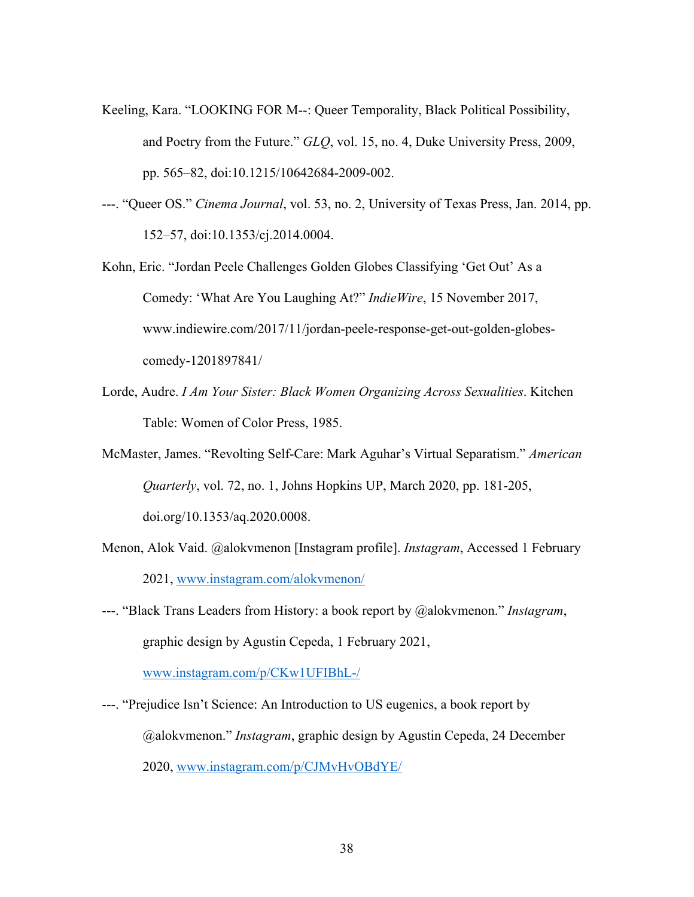- Keeling, Kara. "LOOKING FOR M--: Queer Temporality, Black Political Possibility, and Poetry from the Future." *GLQ*, vol. 15, no. 4, Duke University Press, 2009, pp. 565–82, doi:10.1215/10642684-2009-002.
- ---. "Queer OS." *Cinema Journal*, vol. 53, no. 2, University of Texas Press, Jan. 2014, pp. 152–57, doi:10.1353/cj.2014.0004.
- Kohn, Eric. "Jordan Peele Challenges Golden Globes Classifying 'Get Out' As a Comedy: 'What Are You Laughing At?" *IndieWire*, 15 November 2017, www.indiewire.com/2017/11/jordan-peele-response-get-out-golden-globescomedy-1201897841/
- Lorde, Audre. *I Am Your Sister: Black Women Organizing Across Sexualities*. Kitchen Table: Women of Color Press, 1985.
- McMaster, James. "Revolting Self-Care: Mark Aguhar's Virtual Separatism." *American Quarterly*, vol. 72, no. 1, Johns Hopkins UP, March 2020, pp. 181-205, doi.org/10.1353/aq.2020.0008.
- Menon, Alok Vaid. @alokvmenon [Instagram profile]. *Instagram*, Accessed 1 February 2021, www.instagram.com/alokvmenon/
- ---. "Black Trans Leaders from History: a book report by @alokvmenon." *Instagram*, graphic design by Agustin Cepeda, 1 February 2021,

www.instagram.com/p/CKw1UFIBhL-/

---. "Prejudice Isn't Science: An Introduction to US eugenics, a book report by @alokvmenon." *Instagram*, graphic design by Agustin Cepeda, 24 December 2020, www.instagram.com/p/CJMvHvOBdYE/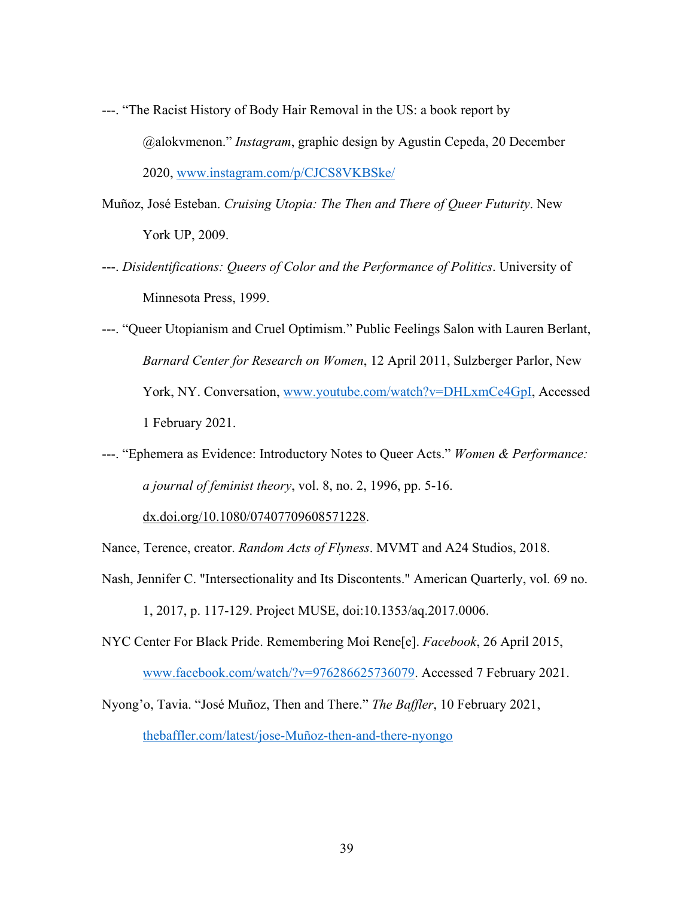- ---. "The Racist History of Body Hair Removal in the US: a book report by @alokvmenon." *Instagram*, graphic design by Agustin Cepeda, 20 December 2020, www.instagram.com/p/CJCS8VKBSke/
- Muñoz, José Esteban. *Cruising Utopia: The Then and There of Queer Futurity*. New York UP, 2009.
- ---. *Disidentifications: Queers of Color and the Performance of Politics*. University of Minnesota Press, 1999.
- ---. "Queer Utopianism and Cruel Optimism." Public Feelings Salon with Lauren Berlant, *Barnard Center for Research on Women*, 12 April 2011, Sulzberger Parlor, New York, NY. Conversation, www.youtube.com/watch?v=DHLxmCe4GpI, Accessed 1 February 2021.
- ---. "Ephemera as Evidence: Introductory Notes to Queer Acts." *Women & Performance: a journal of feminist theory*, vol. 8, no. 2, 1996, pp. 5-16.

dx.doi.org/10.1080/07407709608571228.

Nance, Terence, creator. *Random Acts of Flyness*. MVMT and A24 Studios, 2018.

Nash, Jennifer C. "Intersectionality and Its Discontents." American Quarterly, vol. 69 no.

1, 2017, p. 117-129. Project MUSE, doi:10.1353/aq.2017.0006.

NYC Center For Black Pride. Remembering Moi Rene[e]. *Facebook*, 26 April 2015, www.facebook.com/watch/?v=976286625736079. Accessed 7 February 2021.

Nyong'o, Tavia. "José Muñoz, Then and There." *The Baffler*, 10 February 2021, thebaffler.com/latest/jose-Muñoz-then-and-there-nyongo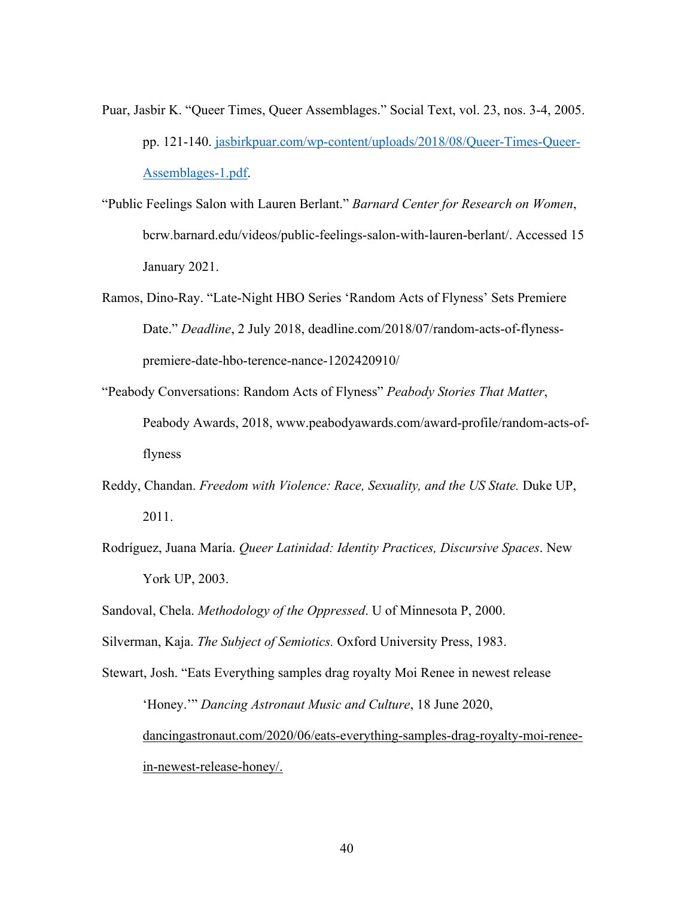- Puar, Jasbir K. "Queer Times, Queer Assemblages." Social Text, vol. 23, nos. 3-4, 2005. pp. 121-140. jasbirkpuar.com/wp-content/uploads/2018/08/Queer-Times-Queer-Assemblages-1.pdf.
- "Public Feelings Salon with Lauren Berlant." *Barnard Center for Research on Women*, bcrw.barnard.edu/videos/public-feelings-salon-with-lauren-berlant/. Accessed 15 January 2021.
- Ramos, Dino-Ray. "Late-Night HBO Series 'Random Acts of Flyness' Sets Premiere Date." *Deadline*, 2 July 2018, deadline.com/2018/07/random-acts-of-flynesspremiere-date-hbo-terence-nance-1202420910/
- "Peabody Conversations: Random Acts of Flyness" *Peabody Stories That Matter*, Peabody Awards, 2018, www.peabodyawards.com/award-profile/random-acts-offlyness
- Reddy, Chandan. *Freedom with Violence: Race, Sexuality, and the US State.* Duke UP, 2011.
- Rodríguez, Juana María. *Queer Latinidad: Identity Practices, Discursive Spaces*. New York UP, 2003.
- Sandoval, Chela. *Methodology of the Oppressed*. U of Minnesota P, 2000.
- Silverman, Kaja. *The Subject of Semiotics.* Oxford University Press, 1983.
- Stewart, Josh. "Eats Everything samples drag royalty Moi Renee in newest release 'Honey.'" *Dancing Astronaut Music and Culture*, 18 June 2020, dancingastronaut.com/2020/06/eats-everything-samples-drag-royalty-moi-reneein-newest-release-honey/.